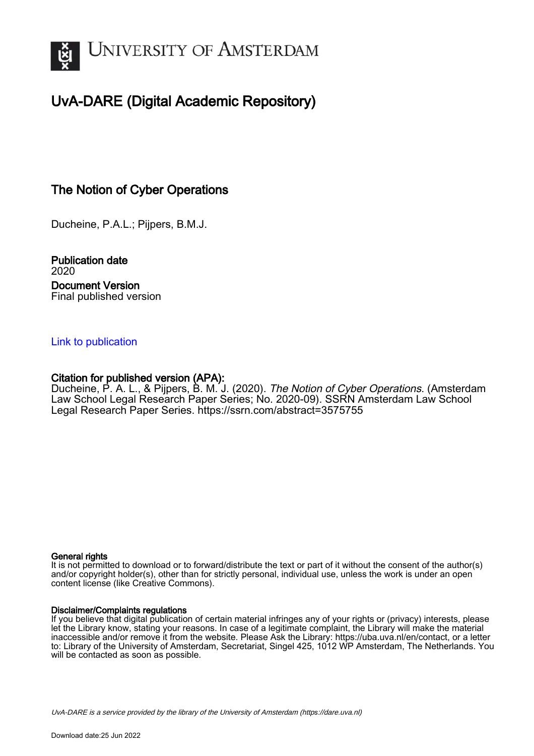

# UvA-DARE (Digital Academic Repository)

# The Notion of Cyber Operations

Ducheine, P.A.L.; Pijpers, B.M.J.

Publication date 2020 Document Version Final published version

#### [Link to publication](https://dare.uva.nl/personal/pure/en/publications/the-notion-of-cyber-operations(bc9f8c8d-e0ce-4c17-bc4c-84484cfebb02).html)

## Citation for published version (APA):

Ducheine, P. A. L., & Pijpers, B. M. J. (2020). The Notion of Cyber Operations. (Amsterdam Law School Legal Research Paper Series; No. 2020-09). SSRN Amsterdam Law School Legal Research Paper Series.<https://ssrn.com/abstract=3575755>

#### General rights

It is not permitted to download or to forward/distribute the text or part of it without the consent of the author(s) and/or copyright holder(s), other than for strictly personal, individual use, unless the work is under an open content license (like Creative Commons).

#### Disclaimer/Complaints regulations

If you believe that digital publication of certain material infringes any of your rights or (privacy) interests, please let the Library know, stating your reasons. In case of a legitimate complaint, the Library will make the material inaccessible and/or remove it from the website. Please Ask the Library: https://uba.uva.nl/en/contact, or a letter to: Library of the University of Amsterdam, Secretariat, Singel 425, 1012 WP Amsterdam, The Netherlands. You will be contacted as soon as possible.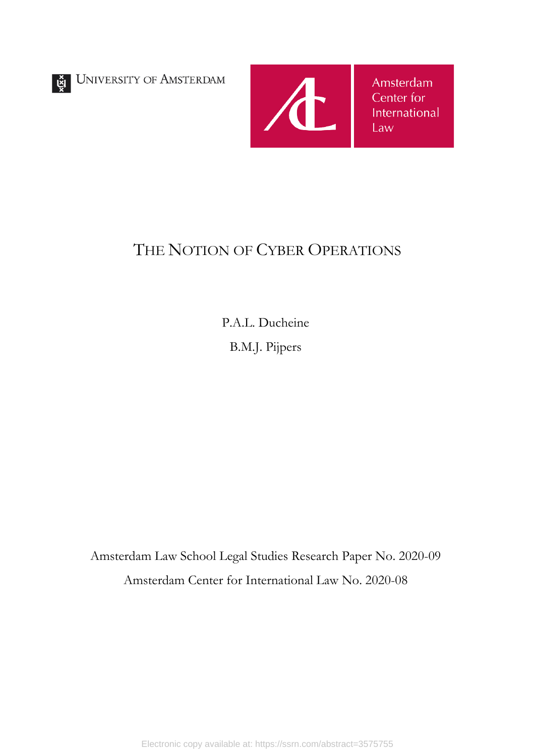UNIVERSITY OF AMSTERDAM



# THE NOTION OF CYBER OPERATIONS

P.A.L. Ducheine B.M.J. Pijpers

Amsterdam Law School Legal Studies Research Paper No. 2020-09 Amsterdam Center for International Law No. 2020-08

Electronic copy available at: https://ssrn.com/abstract=3575755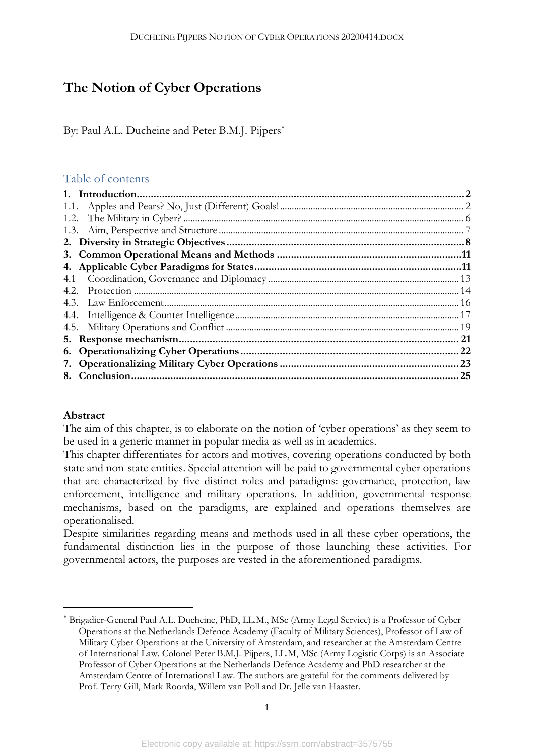# **The Notion of Cyber Operations**

By: Paul A.L. Ducheine and Peter B.M.J. Pijpers\*

## Table of contents

| 1.2. |     |
|------|-----|
|      |     |
|      |     |
|      |     |
|      |     |
| 4.1  |     |
| 4.2. |     |
|      |     |
|      |     |
|      |     |
|      | -21 |
|      |     |
|      |     |
|      |     |
|      |     |

### **Abstract**

 $\overline{a}$ 

The aim of this chapter, is to elaborate on the notion of 'cyber operations' as they seem to be used in a generic manner in popular media as well as in academics.

This chapter differentiates for actors and motives, covering operations conducted by both state and non-state entities. Special attention will be paid to governmental cyber operations that are characterized by five distinct roles and paradigms: governance, protection, law enforcement, intelligence and military operations. In addition, governmental response mechanisms, based on the paradigms, are explained and operations themselves are operationalised.

Despite similarities regarding means and methods used in all these cyber operations, the fundamental distinction lies in the purpose of those launching these activities. For governmental actors, the purposes are vested in the aforementioned paradigms.

<sup>\*</sup> Brigadier-General Paul A.L. Ducheine, PhD, LL.M., MSc (Army Legal Service) is a Professor of Cyber Operations at the Netherlands Defence Academy (Faculty of Military Sciences), Professor of Law of Military Cyber Operations at the University of Amsterdam, and researcher at the Amsterdam Centre of International Law. Colonel Peter B.M.J. Pijpers, LL.M, MSc (Army Logistic Corps) is an Associate Professor of Cyber Operations at the Netherlands Defence Academy and PhD researcher at the Amsterdam Centre of International Law. The authors are grateful for the comments delivered by Prof. Terry Gill, Mark Roorda, Willem van Poll and Dr. Jelle van Haaster.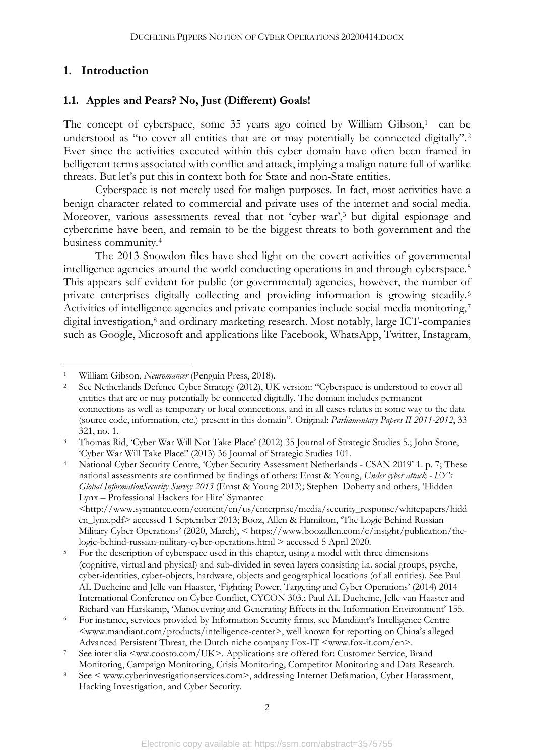### **1. Introduction**

#### **1.1. Apples and Pears? No, Just (Different) Goals!**

The concept of cyberspace, some 35 years ago coined by William Gibson, <sup>1</sup> can be understood as "to cover all entities that are or may potentially be connected digitally".<sup>2</sup> Ever since the activities executed within this cyber domain have often been framed in belligerent terms associated with conflict and attack, implying a malign nature full of warlike threats. But let's put this in context both for State and non-State entities.

Cyberspace is not merely used for malign purposes. In fact, most activities have a benign character related to commercial and private uses of the internet and social media. Moreover, various assessments reveal that not 'cyber war', <sup>3</sup> but digital espionage and cybercrime have been, and remain to be the biggest threats to both government and the business community.4

The 2013 Snowdon files have shed light on the covert activities of governmental intelligence agencies around the world conducting operations in and through cyberspace.5 This appears self-evident for public (or governmental) agencies, however, the number of private enterprises digitally collecting and providing information is growing steadily.6 Activities of intelligence agencies and private companies include social-media monitoring,<sup>7</sup> digital investigation,<sup>8</sup> and ordinary marketing research. Most notably, large ICT-companies such as Google, Microsoft and applications like Facebook, WhatsApp, Twitter, Instagram,

National Cyber Security Centre, 'Cyber Security Assessment Netherlands - CSAN 2019' 1. p. 7; These national assessments are confirmed by findings of others: Ernst & Young, *Under cyber attack - EY's Global InformationSecurity Survey 2013* (Ernst & Young 2013); Stephen Doherty and others, 'Hidden Lynx – Professional Hackers for Hire' Symantec

 <sup>1</sup> William Gibson, *Neuromancer* (Penguin Press, 2018).

<sup>2</sup> See Netherlands Defence Cyber Strategy (2012), UK version: "Cyberspace is understood to cover all entities that are or may potentially be connected digitally. The domain includes permanent connections as well as temporary or local connections, and in all cases relates in some way to the data (source code, information, etc.) present in this domain". Original: *Parliamentary Papers II 2011-2012*, 33 321, no. 1.

<sup>3</sup> Thomas Rid, 'Cyber War Will Not Take Place' (2012) 35 Journal of Strategic Studies 5.; John Stone, 'Cyber War Will Take Place!' (2013) 36 Journal of Strategic Studies 101.

<sup>&</sup>lt;http://www.symantec.com/content/en/us/enterprise/media/security\_response/whitepapers/hidd en\_lynx.pdf> accessed 1 September 2013; Booz, Allen & Hamilton, 'The Logic Behind Russian Military Cyber Operations' (2020, March), < https://www.boozallen.com/c/insight/publication/thelogic-behind-russian-military-cyber-operations.html > accessed 5 April 2020.

<sup>&</sup>lt;sup>5</sup> For the description of cyberspace used in this chapter, using a model with three dimensions (cognitive, virtual and physical) and sub-divided in seven layers consisting i.a. social groups, psyche, cyber-identities, cyber-objects, hardware, objects and geographical locations (of all entities). See Paul AL Ducheine and Jelle van Haaster, 'Fighting Power, Targeting and Cyber Operations' (2014) 2014 International Conference on Cyber Conflict, CYCON 303.; Paul AL Ducheine, Jelle van Haaster and Richard van Harskamp, 'Manoeuvring and Generating Effects in the Information Environment' 155.

<sup>6</sup> For instance, services provided by Information Security firms, see Mandiant's Intelligence Centre <www.mandiant.com/products/intelligence-center>, well known for reporting on China's alleged Advanced Persistent Threat, the Dutch niche company Fox-IT <www.fox-it.com/en>.

See inter alia <ww.coosto.com/UK>. Applications are offered for: Customer Service, Brand Monitoring, Campaign Monitoring, Crisis Monitoring, Competitor Monitoring and Data Research.

<sup>8</sup> See < www.cyberinvestigationservices.com>, addressing Internet Defamation, Cyber Harassment, Hacking Investigation, and Cyber Security.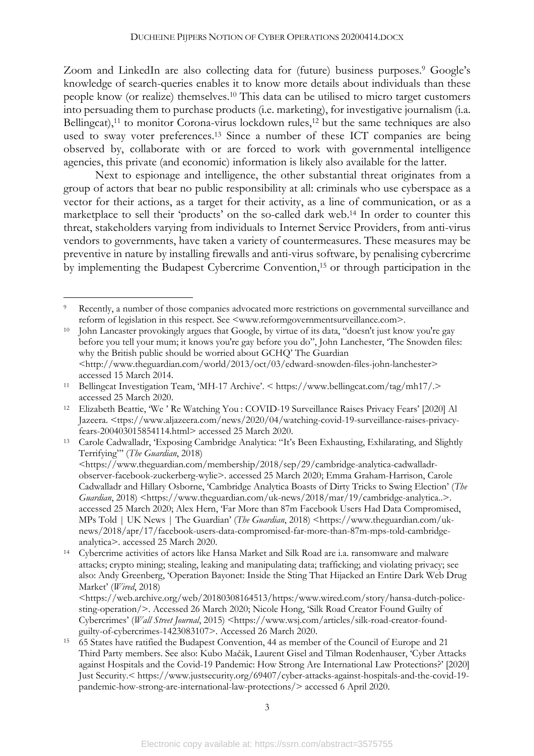Zoom and LinkedIn are also collecting data for (future) business purposes.<sup>9</sup> Google's knowledge of search-queries enables it to know more details about individuals than these people know (or realize) themselves.10 This data can be utilised to micro target customers into persuading them to purchase products (i.e. marketing), for investigative journalism (i.a. Bellingcat),<sup>11</sup> to monitor Corona-virus lockdown rules,<sup>12</sup> but the same techniques are also used to sway voter preferences.13 Since a number of these ICT companies are being observed by, collaborate with or are forced to work with governmental intelligence agencies, this private (and economic) information is likely also available for the latter.

Next to espionage and intelligence, the other substantial threat originates from a group of actors that bear no public responsibility at all: criminals who use cyberspace as a vector for their actions, as a target for their activity, as a line of communication, or as a marketplace to sell their 'products' on the so-called dark web. <sup>14</sup> In order to counter this threat, stakeholders varying from individuals to Internet Service Providers, from anti-virus vendors to governments, have taken a variety of countermeasures. These measures may be preventive in nature by installing firewalls and anti-virus software, by penalising cybercrime by implementing the Budapest Cybercrime Convention, <sup>15</sup> or through participation in the

Recently, a number of those companies advocated more restrictions on governmental surveillance and reform of legislation in this respect. See <www.reformgovernmentsurveillance.com>.

<sup>10</sup> John Lancaster provokingly argues that Google, by virtue of its data, "doesn't just know you're gay before you tell your mum; it knows you're gay before you do", John Lanchester, 'The Snowden files: why the British public should be worried about GCHQ' The Guardian <http://www.theguardian.com/world/2013/oct/03/edward-snowden-files-john-lanchester> accessed 15 March 2014.

<sup>11</sup> Bellingcat Investigation Team, 'MH-17 Archive'. < https://www.bellingcat.com/tag/mh17/.> accessed 25 March 2020.

<sup>12</sup> Elizabeth Beattie, 'We ' Re Watching You : COVID-19 Surveillance Raises Privacy Fears' [2020] Al Jazeera. <ttps://www.aljazeera.com/news/2020/04/watching-covid-19-surveillance-raises-privacyfears-200403015854114.html> accessed 25 March 2020.

<sup>13</sup> Carole Cadwalladr, 'Exposing Cambridge Analytica: "It's Been Exhausting, Exhilarating, and Slightly Terrifying"' (*The Guardian*, 2018) <https://www.theguardian.com/membership/2018/sep/29/cambridge-analytica-cadwalladr-

observer-facebook-zuckerberg-wylie>. accessed 25 March 2020; Emma Graham-Harrison, Carole Cadwalladr and Hillary Osborne, 'Cambridge Analytica Boasts of Dirty Tricks to Swing Election' (*The Guardian*, 2018) <https://www.theguardian.com/uk-news/2018/mar/19/cambridge-analytica..>. accessed 25 March 2020; Alex Hern, 'Far More than 87m Facebook Users Had Data Compromised, MPs Told | UK News | The Guardian' (*The Guardian*, 2018) <https://www.theguardian.com/uknews/2018/apr/17/facebook-users-data-compromised-far-more-than-87m-mps-told-cambridgeanalytica>. accessed 25 March 2020.

<sup>14</sup> Cybercrime activities of actors like Hansa Market and Silk Road are i.a. ransomware and malware attacks; crypto mining; stealing, leaking and manipulating data; trafficking; and violating privacy; see also: Andy Greenberg, 'Operation Bayonet: Inside the Sting That Hijacked an Entire Dark Web Drug Market' (*Wired*, 2018)

<sup>&</sup>lt;https://web.archive.org/web/20180308164513/https:/www.wired.com/story/hansa-dutch-policesting-operation/>. Accessed 26 March 2020; Nicole Hong, 'Silk Road Creator Found Guilty of Cybercrimes' (*Wall Street Journal*, 2015) <https://www.wsj.com/articles/silk-road-creator-foundguilty-of-cybercrimes-1423083107>. Accessed 26 March 2020.

<sup>15</sup> 65 States have ratified the Budapest Convention, 44 as member of the Council of Europe and 21 Third Party members. See also: Kubo Mačák, Laurent Gisel and Tilman Rodenhauser, 'Cyber Attacks against Hospitals and the Covid-19 Pandemic: How Strong Are International Law Protections?' [2020] Just Security.< https://www.justsecurity.org/69407/cyber-attacks-against-hospitals-and-the-covid-19 pandemic-how-strong-are-international-law-protections/> accessed 6 April 2020.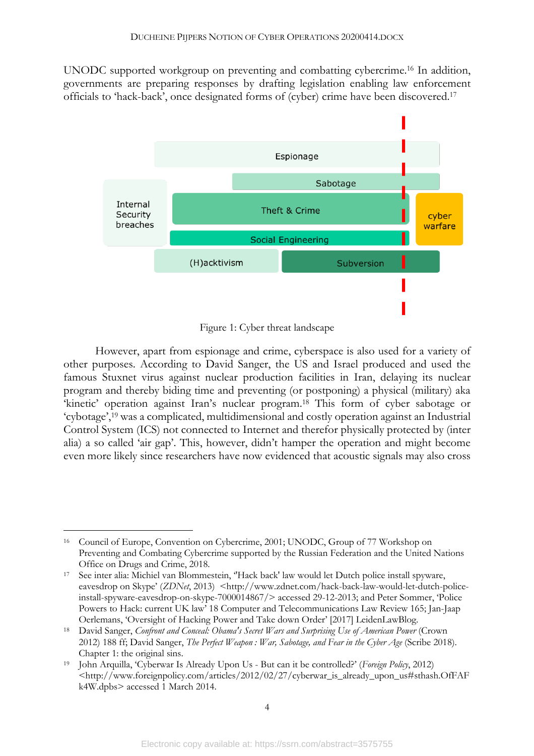UNODC supported workgroup on preventing and combatting cybercrime. <sup>16</sup> In addition, governments are preparing responses by drafting legislation enabling law enforcement officials to 'hack-back', once designated forms of (cyber) crime have been discovered.17



Figure 1: Cyber threat landscape

However, apart from espionage and crime, cyberspace is also used for a variety of other purposes. According to David Sanger, the US and Israel produced and used the famous Stuxnet virus against nuclear production facilities in Iran, delaying its nuclear program and thereby biding time and preventing (or postponing) a physical (military) aka 'kinetic' operation against Iran's nuclear program.18 This form of cyber sabotage or 'cybotage',19 was a complicated, multidimensional and costly operation against an Industrial Control System (ICS) not connected to Internet and therefor physically protected by (inter alia) a so called 'air gap'. This, however, didn't hamper the operation and might become even more likely since researchers have now evidenced that acoustic signals may also cross

 <sup>16</sup> Council of Europe, Convention on Cybercrime, 2001; UNODC, Group of 77 Workshop on Preventing and Combating Cybercrime supported by the Russian Federation and the United Nations Office on Drugs and Crime, 2018. 17 See inter alia: Michiel van Blommestein, ''Hack back' law would let Dutch police install spyware,

eavesdrop on Skype' (*ZDNet*, 2013) <http://www.zdnet.com/hack-back-law-would-let-dutch-policeinstall-spyware-eavesdrop-on-skype-7000014867/> accessed 29-12-2013; and Peter Sommer, 'Police Powers to Hack: current UK law' 18 Computer and Telecommunications Law Review 165; Jan-Jaap Oerlemans, 'Oversight of Hacking Power and Take down Order' [2017] LeidenLawBlog.

<sup>18</sup> David Sanger, *Confront and Conceal: Obama's Secret Wars and Surprising Use of American Power* (Crown 2012) 188 ff; David Sanger, *The Perfect Weapon : War, Sabotage, and Fear in the Cyber Age* (Scribe 2018). Chapter 1: the original sins.

<sup>19</sup> John Arquilla, 'Cyberwar Is Already Upon Us - But can it be controlled?' (*Foreign Policy*, 2012) <http://www.foreignpolicy.com/articles/2012/02/27/cyberwar\_is\_already\_upon\_us#sthash.OfFAF k4W.dpbs> accessed 1 March 2014.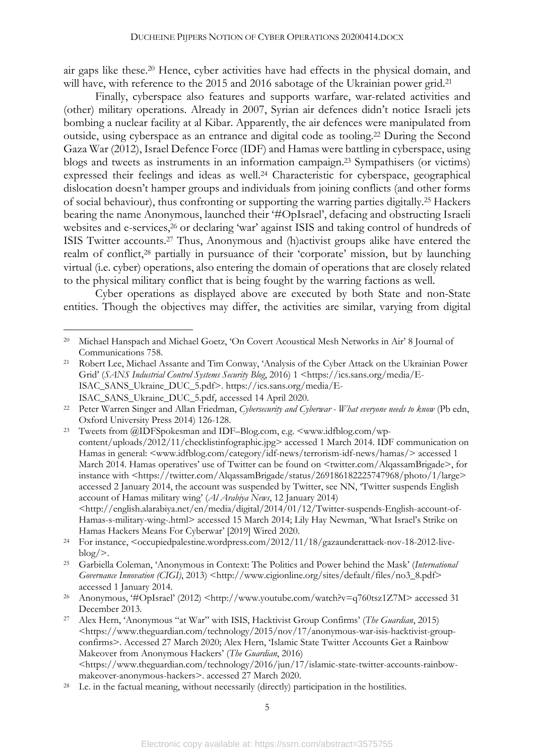air gaps like these.20 Hence, cyber activities have had effects in the physical domain, and will have, with reference to the 2015 and 2016 sabotage of the Ukrainian power grid.<sup>21</sup>

Finally, cyberspace also features and supports warfare, war-related activities and (other) military operations. Already in 2007, Syrian air defences didn't notice Israeli jets bombing a nuclear facility at al Kibar. Apparently, the air defences were manipulated from outside, using cyberspace as an entrance and digital code as tooling.22 During the Second Gaza War (2012), Israel Defence Force (IDF) and Hamas were battling in cyberspace, using blogs and tweets as instruments in an information campaign.23 Sympathisers (or victims) expressed their feelings and ideas as well.<sup>24</sup> Characteristic for cyberspace, geographical dislocation doesn't hamper groups and individuals from joining conflicts (and other forms of social behaviour), thus confronting or supporting the warring parties digitally.25 Hackers bearing the name Anonymous, launched their '#OpIsrael', defacing and obstructing Israeli websites and e-services, <sup>26</sup> or declaring 'war' against ISIS and taking control of hundreds of ISIS Twitter accounts.27 Thus, Anonymous and (h)activist groups alike have entered the realm of conflict,28 partially in pursuance of their 'corporate' mission, but by launching virtual (i.e. cyber) operations, also entering the domain of operations that are closely related to the physical military conflict that is being fought by the warring factions as well.

Cyber operations as displayed above are executed by both State and non-State entities. Though the objectives may differ, the activities are similar, varying from digital

<sup>23</sup> Tweets from @IDFSpokesman and IDF–Blog.com, e.g. <www.idfblog.com/wpcontent/uploads/2012/11/checklistinfographic.jpg> accessed 1 March 2014. IDF communication on Hamas in general: <www.idfblog.com/category/idf-news/terrorism-idf-news/hamas/> accessed 1 March 2014. Hamas operatives' use of Twitter can be found on <twitter.com/AlqassamBrigade>, for instance with <https://twitter.com/AlqassamBrigade/status/269186182225747968/photo/1/large> accessed 2 January 2014, the account was suspended by Twitter, see NN, 'Twitter suspends English account of Hamas military wing' (*Al Arabiya News*, 12 January 2014) <http://english.alarabiya.net/en/media/digital/2014/01/12/Twitter-suspends-English-account-of-Hamas-s-military-wing-.html> accessed 15 March 2014; Lily Hay Newman, 'What Israel's Strike on Hamas Hackers Means For Cyberwar' [2019] Wired 2020.

<sup>26</sup> Anonymous, "#OpIsrael' (2012) <http://www.youtube.com/watch?v=q760tsz1Z7M> accessed 31 December 2013.

 <sup>20</sup> Michael Hanspach and Michael Goetz, 'On Covert Acoustical Mesh Networks in Air' 8 Journal of Communications 758.

<sup>21</sup> Robert Lee, Michael Assante and Tim Conway, 'Analysis of the Cyber Attack on the Ukrainian Power Grid' (*SANS Industrial Control Systems Security Blog*, 2016) 1 <https://ics.sans.org/media/E-ISAC\_SANS\_Ukraine\_DUC\_5.pdf>. https://ics.sans.org/media/E-ISAC\_SANS\_Ukraine\_DUC\_5.pdf, accessed 14 April 2020. 22 Peter Warren Singer and Allan Friedman, *Cybersecurity and Cyberwar - What everyone needs to know* (Pb edn,

Oxford University Press 2014) 126-128.

<sup>&</sup>lt;sup>24</sup> For instance, <occupiedpalestine.wordpress.com/2012/11/18/gazaunderattack-nov-18-2012-live $b \log/$ .

<sup>25</sup> Garbiella Coleman, 'Anonymous in Context: The Politics and Power behind the Mask' (*International Governance Innovation (CIGI)*, 2013) <http://www.cigionline.org/sites/default/files/no3 8.pdf> accessed 1 January 2014.

<sup>27</sup> Alex Hern, 'Anonymous "at War" with ISIS, Hacktivist Group Confirms' (*The Guardian*, 2015) <https://www.theguardian.com/technology/2015/nov/17/anonymous-war-isis-hacktivist-groupconfirms>. Accessed 27 March 2020; Alex Hern, 'Islamic State Twitter Accounts Get a Rainbow Makeover from Anonymous Hackers' (*The Guardian*, 2016)  $\leq$ https://www.theguardian.com/technology/2016/jun/17/islamic-state-twitter-accounts-rainbowmakeover-anonymous-hackers>. accessed 27 March 2020.

<sup>28</sup> I.e. in the factual meaning, without necessarily (directly) participation in the hostilities.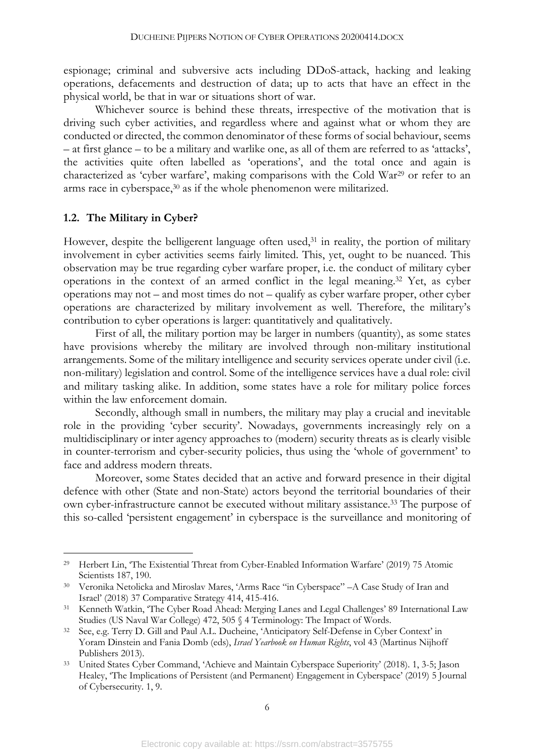espionage; criminal and subversive acts including DDoS-attack, hacking and leaking operations, defacements and destruction of data; up to acts that have an effect in the physical world, be that in war or situations short of war.

Whichever source is behind these threats, irrespective of the motivation that is driving such cyber activities, and regardless where and against what or whom they are conducted or directed, the common denominator of these forms of social behaviour, seems – at first glance – to be a military and warlike one, as all of them are referred to as 'attacks', the activities quite often labelled as 'operations', and the total once and again is characterized as 'cyber warfare', making comparisons with the Cold War29 or refer to an arms race in cyberspace,30 as if the whole phenomenon were militarized.

#### **1.2. The Military in Cyber?**

However, despite the belligerent language often used,<sup>31</sup> in reality, the portion of military involvement in cyber activities seems fairly limited. This, yet, ought to be nuanced. This observation may be true regarding cyber warfare proper, i.e. the conduct of military cyber operations in the context of an armed conflict in the legal meaning.32 Yet, as cyber operations may not – and most times do not – qualify as cyber warfare proper, other cyber operations are characterized by military involvement as well. Therefore, the military's contribution to cyber operations is larger: quantitatively and qualitatively.

First of all, the military portion may be larger in numbers (quantity), as some states have provisions whereby the military are involved through non-military institutional arrangements. Some of the military intelligence and security services operate under civil (i.e. non-military) legislation and control. Some of the intelligence services have a dual role: civil and military tasking alike. In addition, some states have a role for military police forces within the law enforcement domain.

Secondly, although small in numbers, the military may play a crucial and inevitable role in the providing 'cyber security'. Nowadays, governments increasingly rely on a multidisciplinary or inter agency approaches to (modern) security threats as is clearly visible in counter-terrorism and cyber-security policies, thus using the 'whole of government' to face and address modern threats.

Moreover, some States decided that an active and forward presence in their digital defence with other (State and non-State) actors beyond the territorial boundaries of their own cyber-infrastructure cannot be executed without military assistance. <sup>33</sup> The purpose of this so-called 'persistent engagement' in cyberspace is the surveillance and monitoring of

 <sup>29</sup> Herbert Lin, 'The Existential Threat from Cyber-Enabled Information Warfare' (2019) 75 Atomic Scientists 187, 190.

<sup>30</sup> Veronika Netolicka and Miroslav Mares, 'Arms Race "in Cyberspace" –A Case Study of Iran and Israel' (2018) 37 Comparative Strategy 414, 415-416.

<sup>31</sup> Kenneth Watkin, 'The Cyber Road Ahead: Merging Lanes and Legal Challenges' 89 International Law Studies (US Naval War College) 472, 505 § 4 Terminology: The Impact of Words.

<sup>32</sup> See, e.g. Terry D. Gill and Paul A.L. Ducheine, 'Anticipatory Self-Defense in Cyber Context' in Yoram Dinstein and Fania Domb (eds), *Israel Yearbook on Human Rights*, vol 43 (Martinus Nijhoff Publishers 2013).

<sup>33</sup> United States Cyber Command, 'Achieve and Maintain Cyberspace Superiority' (2018). 1, 3-5; Jason Healey, 'The Implications of Persistent (and Permanent) Engagement in Cyberspace' (2019) 5 Journal of Cybersecurity. 1, 9.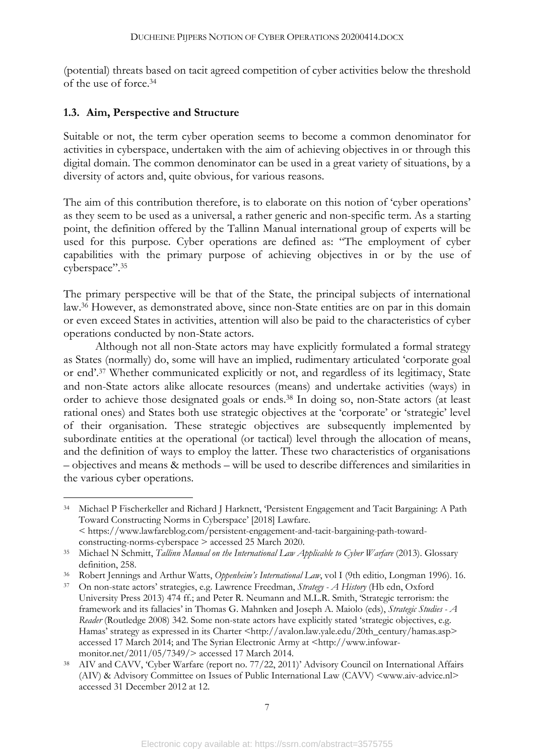(potential) threats based on tacit agreed competition of cyber activities below the threshold of the use of force. 34

#### **1.3. Aim, Perspective and Structure**

Suitable or not, the term cyber operation seems to become a common denominator for activities in cyberspace, undertaken with the aim of achieving objectives in or through this digital domain. The common denominator can be used in a great variety of situations, by a diversity of actors and, quite obvious, for various reasons.

The aim of this contribution therefore, is to elaborate on this notion of 'cyber operations' as they seem to be used as a universal, a rather generic and non-specific term. As a starting point, the definition offered by the Tallinn Manual international group of experts will be used for this purpose. Cyber operations are defined as: "The employment of cyber capabilities with the primary purpose of achieving objectives in or by the use of cyberspace".35

The primary perspective will be that of the State, the principal subjects of international law.36 However, as demonstrated above, since non-State entities are on par in this domain or even exceed States in activities, attention will also be paid to the characteristics of cyber operations conducted by non-State actors.

Although not all non-State actors may have explicitly formulated a formal strategy as States (normally) do, some will have an implied, rudimentary articulated 'corporate goal or end'.37 Whether communicated explicitly or not, and regardless of its legitimacy, State and non-State actors alike allocate resources (means) and undertake activities (ways) in order to achieve those designated goals or ends.38 In doing so, non-State actors (at least rational ones) and States both use strategic objectives at the 'corporate' or 'strategic' level of their organisation. These strategic objectives are subsequently implemented by subordinate entities at the operational (or tactical) level through the allocation of means, and the definition of ways to employ the latter. These two characteristics of organisations – objectives and means & methods – will be used to describe differences and similarities in the various cyber operations.

 <sup>34</sup> Michael P Fischerkeller and Richard J Harknett, 'Persistent Engagement and Tacit Bargaining: A Path Toward Constructing Norms in Cyberspace' [2018] Lawfare. < https://www.lawfareblog.com/persistent-engagement-and-tacit-bargaining-path-toward-

constructing-norms-cyberspace > accessed 25 March 2020.

<sup>35</sup> Michael N Schmitt, *Tallinn Manual on the International Law Applicable to Cyber Warfare* (2013). Glossary definition, 258.

<sup>36</sup> Robert Jennings and Arthur Watts, *Oppenheim's International Law*, vol I (9th editio, Longman 1996). 16.

<sup>37</sup> On non-state actors' strategies, e.g. Lawrence Freedman, *Strategy - A History* (Hb edn, Oxford University Press 2013) 474 ff.; and Peter R. Neumann and M.L.R. Smith, 'Strategic terrorism: the framework and its fallacies' in Thomas G. Mahnken and Joseph A. Maiolo (eds), *Strategic Studies - A Reader* (Routledge 2008) 342. Some non-state actors have explicitly stated 'strategic objectives, e.g. Hamas' strategy as expressed in its Charter <http://avalon.law.yale.edu/20th\_century/hamas.asp> accessed 17 March 2014; and The Syrian Electronic Army at <http://www.infowarmonitor.net/2011/05/7349/> accessed 17 March 2014.

<sup>38</sup> AIV and CAVV, 'Cyber Warfare (report no. 77/22, 2011)' Advisory Council on International Affairs (AIV) & Advisory Committee on Issues of Public International Law (CAVV) <www.aiv-advice.nl> accessed 31 December 2012 at 12.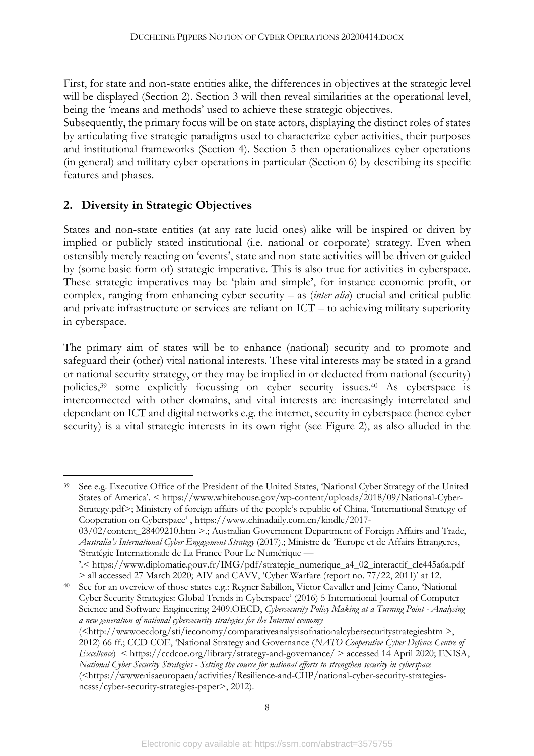First, for state and non-state entities alike, the differences in objectives at the strategic level will be displayed (Section 2). Section 3 will then reveal similarities at the operational level, being the 'means and methods' used to achieve these strategic objectives.

Subsequently, the primary focus will be on state actors, displaying the distinct roles of states by articulating five strategic paradigms used to characterize cyber activities, their purposes and institutional frameworks (Section 4). Section 5 then operationalizes cyber operations (in general) and military cyber operations in particular (Section 6) by describing its specific features and phases.

## **2. Diversity in Strategic Objectives**

States and non-state entities (at any rate lucid ones) alike will be inspired or driven by implied or publicly stated institutional (i.e. national or corporate) strategy. Even when ostensibly merely reacting on 'events', state and non-state activities will be driven or guided by (some basic form of) strategic imperative. This is also true for activities in cyberspace. These strategic imperatives may be 'plain and simple', for instance economic profit, or complex, ranging from enhancing cyber security – as (*inter alia*) crucial and critical public and private infrastructure or services are reliant on ICT – to achieving military superiority in cyberspace.

The primary aim of states will be to enhance (national) security and to promote and safeguard their (other) vital national interests. These vital interests may be stated in a grand or national security strategy, or they may be implied in or deducted from national (security) policies, <sup>39</sup> some explicitly focussing on cyber security issues.40 As cyberspace is interconnected with other domains, and vital interests are increasingly interrelated and dependant on ICT and digital networks e.g. the internet, security in cyberspace (hence cyber security) is a vital strategic interests in its own right (see Figure 2), as also alluded in the

 39 See e.g. Executive Office of the President of the United States, 'National Cyber Strategy of the United States of America'. < https://www.whitehouse.gov/wp-content/uploads/2018/09/National-Cyber-Strategy.pdf>; Ministery of foreign affairs of the people's republic of China, 'International Strategy of Cooperation on Cyberspace' , https://www.chinadaily.com.cn/kindle/2017- 03/02/content\_28409210.htm >.; Australian Government Department of Foreign Affairs and Trade, *Australia's International Cyber Engagement Strategy* (2017).; Ministre de 'Europe et de Affairs Etrangeres, 'Stratégie Internationale de La France Pour Le Numérique — '.< https://www.diplomatie.gouv.fr/IMG/pdf/strategie\_numerique\_a4\_02\_interactif\_cle445a6a.pdf > all accessed 27 March 2020; AIV and CAVV, 'Cyber Warfare (report no. 77/22, 2011)' at 12.

<sup>40</sup> See for an overview of those states e.g.: Regner Sabillon, Victor Cavaller and Jeimy Cano, 'National Cyber Security Strategies: Global Trends in Cyberspace' (2016) 5 International Journal of Computer Science and Software Engineering 2409.OECD, *Cybersecurity Policy Making at a Turning Point - Analysing a new generation of national cybersecurity strategies for the Internet economy* (<http://wwwoecdorg/sti/ieconomy/comparativeanalysisofnationalcybersecuritystrategieshtm >, 2012) 66 ff.; CCD COE, 'National Strategy and Governance (*NATO Cooperative Cyber Defence Centre of Excellence*) < https://ccdcoe.org/library/strategy-and-governance/ > accessed 14 April 2020; ENISA, *National Cyber Security Strategies - Setting the course for national efforts to strengthen security in cyberspace*

<sup>(&</sup>lt;https://wwwenisaeuropaeu/activities/Resilience-and-CIIP/national-cyber-security-strategiesncsss/cyber-security-strategies-paper>, 2012).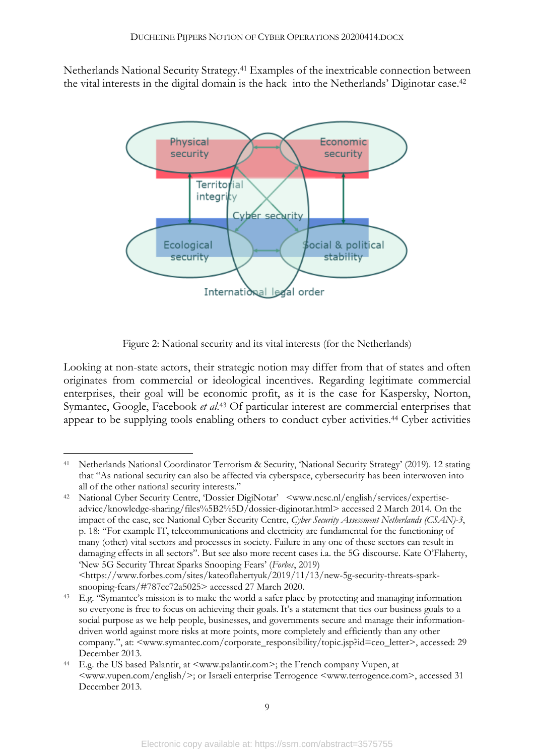Netherlands National Security Strategy.41 Examples of the inextricable connection between the vital interests in the digital domain is the hack into the Netherlands' Diginotar case. 42



Figure 2: National security and its vital interests (for the Netherlands)

Looking at non-state actors, their strategic notion may differ from that of states and often originates from commercial or ideological incentives. Regarding legitimate commercial enterprises, their goal will be economic profit, as it is the case for Kaspersky, Norton, Symantec, Google, Facebook *et al*. <sup>43</sup> Of particular interest are commercial enterprises that appear to be supplying tools enabling others to conduct cyber activities.<sup>44</sup> Cyber activities

 <sup>41</sup> Netherlands National Coordinator Terrorism & Security, 'National Security Strategy' (2019). 12 stating that "As national security can also be affected via cyberspace, cybersecurity has been interwoven into all of the other national security interests."

<sup>42</sup> National Cyber Security Centre, 'Dossier DigiNotar' <www.ncsc.nl/english/services/expertiseadvice/knowledge-sharing/files%5B2%5D/dossier-diginotar.html> accessed 2 March 2014. On the impact of the case, see National Cyber Security Centre, *Cyber Security Assessment Netherlands (CSAN)-3*, p. 18: "For example IT, telecommunications and electricity are fundamental for the functioning of many (other) vital sectors and processes in society. Failure in any one of these sectors can result in damaging effects in all sectors". But see also more recent cases i.a. the 5G discourse. Kate O'Flaherty, 'New 5G Security Threat Sparks Snooping Fears' (*Forbes*, 2019)

<sup>&</sup>lt;https://www.forbes.com/sites/kateoflahertyuk/2019/11/13/new-5g-security-threats-sparksnooping-fears/#787cc72a5025> accessed 27 March 2020.

<sup>43</sup> E.g. "Symantec's mission is to make the world a safer place by protecting and managing information so everyone is free to focus on achieving their goals. It's a statement that ties our business goals to a social purpose as we help people, businesses, and governments secure and manage their informationdriven world against more risks at more points, more completely and efficiently than any other company.", at: <www.symantec.com/corporate\_responsibility/topic.jsp?id=ceo\_letter>, accessed: 29 December 2013.

<sup>44</sup> E.g. the US based Palantir, at <www.palantir.com>; the French company Vupen, at <www.vupen.com/english/>; or Israeli enterprise Terrogence <www.terrogence.com>, accessed 31 December 2013.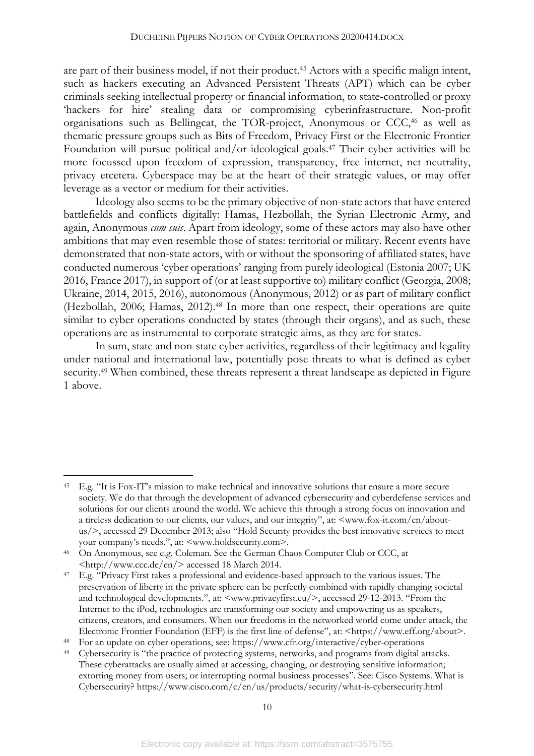are part of their business model, if not their product.45 Actors with a specific malign intent, such as hackers executing an Advanced Persistent Threats (APT) which can be cyber criminals seeking intellectual property or financial information, to state-controlled or proxy 'hackers for hire' stealing data or compromising cyberinfrastructure. Non-profit organisations such as Bellingcat, the TOR-project, Anonymous or CCC,46 as well as thematic pressure groups such as Bits of Freedom, Privacy First or the Electronic Frontier Foundation will pursue political and/or ideological goals.47 Their cyber activities will be more focussed upon freedom of expression, transparency, free internet, net neutrality, privacy etcetera. Cyberspace may be at the heart of their strategic values, or may offer leverage as a vector or medium for their activities.

Ideology also seems to be the primary objective of non-state actors that have entered battlefields and conflicts digitally: Hamas, Hezbollah, the Syrian Electronic Army, and again, Anonymous *cum suis*. Apart from ideology, some of these actors may also have other ambitions that may even resemble those of states: territorial or military. Recent events have demonstrated that non-state actors, with or without the sponsoring of affiliated states, have conducted numerous 'cyber operations' ranging from purely ideological (Estonia 2007; UK 2016, France 2017), in support of (or at least supportive to) military conflict (Georgia, 2008; Ukraine, 2014, 2015, 2016), autonomous (Anonymous, 2012) or as part of military conflict (Hezbollah, 2006; Hamas, 2012).48 In more than one respect, their operations are quite similar to cyber operations conducted by states (through their organs), and as such, these operations are as instrumental to corporate strategic aims, as they are for states.

In sum, state and non-state cyber activities, regardless of their legitimacy and legality under national and international law, potentially pose threats to what is defined as cyber security.<sup>49</sup> When combined, these threats represent a threat landscape as depicted in Figure 1 above.

<sup>48</sup> For an update on cyber operations, see: https://www.cfr.org/interactive/cyber-operations

 <sup>45</sup> E.g. "It is Fox-IT's mission to make technical and innovative solutions that ensure a more secure society. We do that through the development of advanced cybersecurity and cyberdefense services and solutions for our clients around the world. We achieve this through a strong focus on innovation and a tireless dedication to our clients, our values, and our integrity", at: <www.fox-it.com/en/aboutus/>, accessed 29 December 2013; also "Hold Security provides the best innovative services to meet your company's needs.", at: <www.holdsecurity.com>.

<sup>46</sup> On Anonymous, see e.g. Coleman. See the German Chaos Computer Club or CCC, at <http://www.ccc.de/en/> accessed 18 March 2014.

<sup>47</sup> E.g. "Privacy First takes a professional and evidence-based approach to the various issues. The preservation of liberty in the private sphere can be perfectly combined with rapidly changing societal and technological developments.", at: <www.privacyfirst.eu/>, accessed 29-12-2013. "From the Internet to the iPod, technologies are transforming our society and empowering us as speakers, citizens, creators, and consumers. When our freedoms in the networked world come under attack, the Electronic Frontier Foundation (EFF) is the first line of defense", at: <https://www.eff.org/about>.

Cybersecurity is "the practice of protecting systems, networks, and programs from digital attacks. These cyberattacks are usually aimed at accessing, changing, or destroying sensitive information; extorting money from users; or interrupting normal business processes". See: Cisco Systems. What is Cybersecurity? https://www.cisco.com/c/en/us/products/security/what-is-cybersecurity.html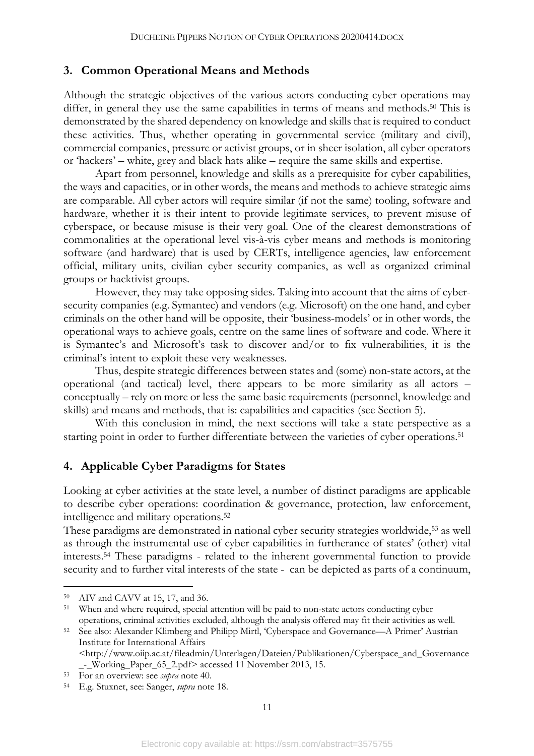#### **3. Common Operational Means and Methods**

Although the strategic objectives of the various actors conducting cyber operations may differ, in general they use the same capabilities in terms of means and methods.<sup>50</sup> This is demonstrated by the shared dependency on knowledge and skills that is required to conduct these activities. Thus, whether operating in governmental service (military and civil), commercial companies, pressure or activist groups, or in sheer isolation, all cyber operators or 'hackers' – white, grey and black hats alike – require the same skills and expertise.

Apart from personnel, knowledge and skills as a prerequisite for cyber capabilities, the ways and capacities, or in other words, the means and methods to achieve strategic aims are comparable. All cyber actors will require similar (if not the same) tooling, software and hardware, whether it is their intent to provide legitimate services, to prevent misuse of cyberspace, or because misuse is their very goal. One of the clearest demonstrations of commonalities at the operational level vis-à-vis cyber means and methods is monitoring software (and hardware) that is used by CERTs, intelligence agencies, law enforcement official, military units, civilian cyber security companies, as well as organized criminal groups or hacktivist groups.

However, they may take opposing sides. Taking into account that the aims of cybersecurity companies (e.g. Symantec) and vendors (e.g. Microsoft) on the one hand, and cyber criminals on the other hand will be opposite, their 'business-models' or in other words, the operational ways to achieve goals, centre on the same lines of software and code. Where it is Symantec's and Microsoft's task to discover and/or to fix vulnerabilities, it is the criminal's intent to exploit these very weaknesses.

Thus, despite strategic differences between states and (some) non-state actors, at the operational (and tactical) level, there appears to be more similarity as all actors – conceptually – rely on more or less the same basic requirements (personnel, knowledge and skills) and means and methods, that is: capabilities and capacities (see Section 5).

With this conclusion in mind, the next sections will take a state perspective as a starting point in order to further differentiate between the varieties of cyber operations.<sup>51</sup>

### **4. Applicable Cyber Paradigms for States**

Looking at cyber activities at the state level, a number of distinct paradigms are applicable to describe cyber operations: coordination & governance, protection, law enforcement, intelligence and military operations. 52

These paradigms are demonstrated in national cyber security strategies worldwide,<sup>53</sup> as well as through the instrumental use of cyber capabilities in furtherance of states' (other) vital interests.54 These paradigms - related to the inherent governmental function to provide security and to further vital interests of the state - can be depicted as parts of a continuum,

 <sup>50</sup> AIV and CAVV at 15, 17, and 36.

<sup>51</sup> When and where required, special attention will be paid to non-state actors conducting cyber operations, criminal activities excluded, although the analysis offered may fit their activities as well.

<sup>52</sup> See also: Alexander Klimberg and Philipp Mirtl, 'Cyberspace and Governance—A Primer' Austrian Institute for International Affairs <http://www.oiip.ac.at/fileadmin/Unterlagen/Dateien/Publikationen/Cyberspace\_and\_Governance

\_-\_Working\_Paper\_65\_2.pdf> accessed 11 November 2013, 15.

<sup>53</sup> For an overview: see *supra* note 40. 54 E.g. Stuxnet, see: Sanger, *supra* note 18.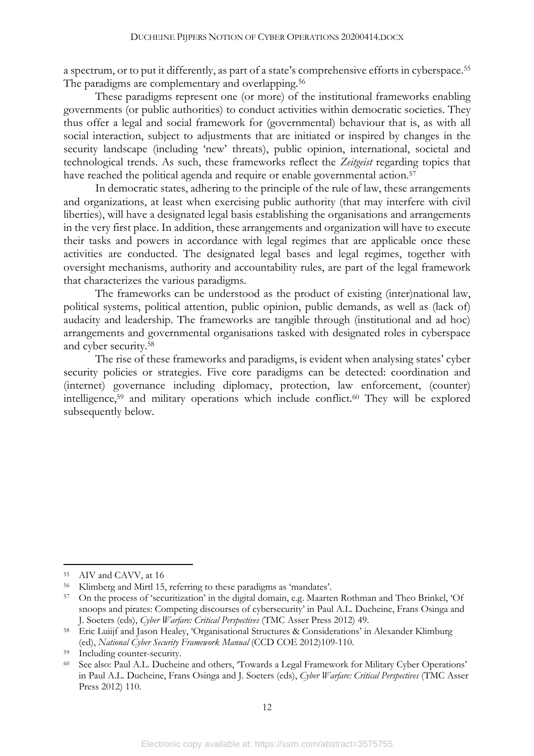a spectrum, or to put it differently, as part of a state's comprehensive efforts in cyberspace.55 The paradigms are complementary and overlapping.<sup>56</sup>

These paradigms represent one (or more) of the institutional frameworks enabling governments (or public authorities) to conduct activities within democratic societies. They thus offer a legal and social framework for (governmental) behaviour that is, as with all social interaction, subject to adjustments that are initiated or inspired by changes in the security landscape (including 'new' threats), public opinion, international, societal and technological trends. As such, these frameworks reflect the *Zeitgeist* regarding topics that have reached the political agenda and require or enable governmental action.<sup>57</sup>

In democratic states, adhering to the principle of the rule of law, these arrangements and organizations, at least when exercising public authority (that may interfere with civil liberties), will have a designated legal basis establishing the organisations and arrangements in the very first place. In addition, these arrangements and organization will have to execute their tasks and powers in accordance with legal regimes that are applicable once these activities are conducted. The designated legal bases and legal regimes, together with oversight mechanisms, authority and accountability rules, are part of the legal framework that characterizes the various paradigms.

The frameworks can be understood as the product of existing (inter)national law, political systems, political attention, public opinion, public demands, as well as (lack of) audacity and leadership. The frameworks are tangible through (institutional and ad hoc) arrangements and governmental organisations tasked with designated roles in cyberspace and cyber security.58

The rise of these frameworks and paradigms, is evident when analysing states' cyber security policies or strategies. Five core paradigms can be detected: coordination and (internet) governance including diplomacy, protection, law enforcement, (counter) intelligence,59 and military operations which include conflict. <sup>60</sup> They will be explored subsequently below.

 <sup>55</sup> AIV and CAVV, at 16

<sup>56</sup> Klimberg and Mirtl 15, referring to these paradigms as 'mandates'.

<sup>57</sup> On the process of 'securitization' in the digital domain, e.g. Maarten Rothman and Theo Brinkel, 'Of snoops and pirates: Competing discourses of cybersecurity' in Paul A.L. Ducheine, Frans Osinga and J. Soeters (eds), *Cyber Warfare: Critical Perspectives* (TMC Asser Press 2012) 49.

<sup>58</sup> Eric Luiijf and Jason Healey, 'Organisational Structures & Considerations' in Alexander Klimburg (ed), *National Cyber Security Framework Manual* (CCD COE 2012)109-110.

Including counter-security.

<sup>60</sup> See also: Paul A.L. Ducheine and others, 'Towards a Legal Framework for Military Cyber Operations' in Paul A.L. Ducheine, Frans Osinga and J. Soeters (eds), *Cyber Warfare: Critical Perspectives* (TMC Asser Press 2012) 110.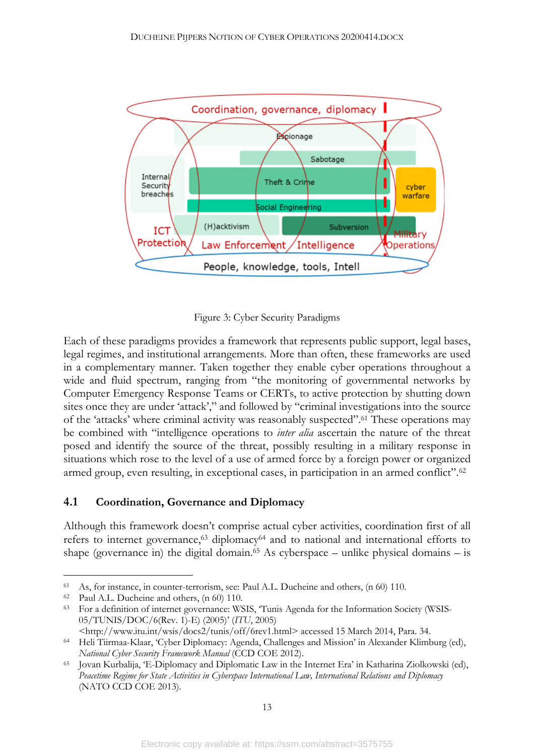

Figure 3: Cyber Security Paradigms

Each of these paradigms provides a framework that represents public support, legal bases, legal regimes, and institutional arrangements. More than often, these frameworks are used in a complementary manner. Taken together they enable cyber operations throughout a wide and fluid spectrum, ranging from "the monitoring of governmental networks by Computer Emergency Response Teams or CERTs, to active protection by shutting down sites once they are under 'attack'," and followed by "criminal investigations into the source of the 'attacks' where criminal activity was reasonably suspected".61 These operations may be combined with "intelligence operations to *inter alia* ascertain the nature of the threat posed and identify the source of the threat, possibly resulting in a military response in situations which rose to the level of a use of armed force by a foreign power or organized armed group, even resulting, in exceptional cases, in participation in an armed conflict".62

#### **4.1 Coordination, Governance and Diplomacy**

Although this framework doesn't comprise actual cyber activities, coordination first of all refers to internet governance,<sup>63</sup> diplomacy<sup>64</sup> and to national and international efforts to shape (governance in) the digital domain.<sup>65</sup> As cyberspace – unlike physical domains – is

 <sup>61</sup> As, for instance, in counter-terrorism, see: Paul A.L. Ducheine and others, (n 60) 110.

<sup>62</sup> Paul A.L. Ducheine and others, (n 60) 110.

<sup>63</sup> For a definition of internet governance: WSIS, 'Tunis Agenda for the Information Society (WSIS-05/TUNIS/DOC/6(Rev. 1)-E) (2005)' (*ITU*, 2005)

<sup>&</sup>lt;http://www.itu.int/wsis/docs2/tunis/off/6rev1.html> accessed 15 March 2014, Para. 34.

<sup>64</sup> Heli Tiirmaa-Klaar, 'Cyber Diplomacy: Agenda, Challenges and Mission' in Alexander Klimburg (ed), *National Cyber Security Framework Manual* (CCD COE 2012).

<sup>65</sup> Jovan Kurbalija, 'E-Diplomacy and Diplomatic Law in the Internet Era' in Katharina Ziolkowski (ed), *Peacetime Regime for State Activities in Cyberspace International Law, International Relations and Diplomacy* (NATO CCD COE 2013).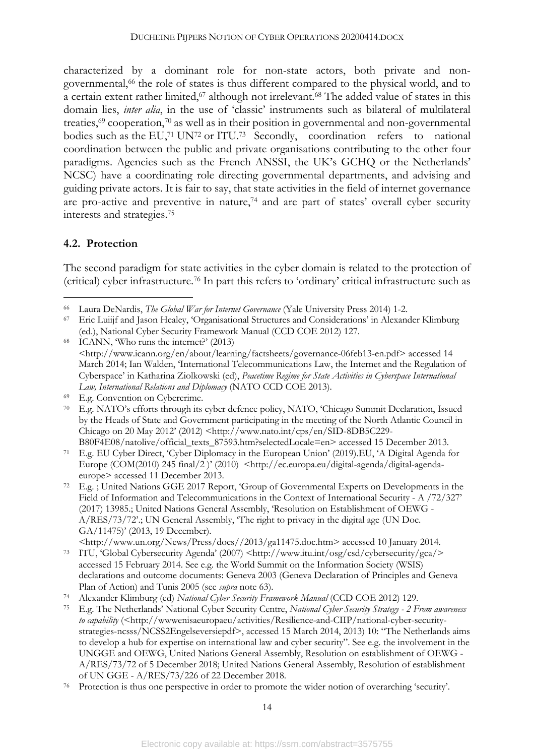characterized by a dominant role for non-state actors, both private and nongovernmental,66 the role of states is thus different compared to the physical world, and to a certain extent rather limited,<sup>67</sup> although not irrelevant.<sup>68</sup> The added value of states in this domain lies, *inter alia*, in the use of 'classic' instruments such as bilateral of multilateral treaties,69 cooperation,70 as well as in their position in governmental and non-governmental bodies such as the EU,<sup>71</sup> UN<sup>72</sup> or ITU.<sup>73</sup> Secondly, coordination refers to national coordination between the public and private organisations contributing to the other four paradigms. Agencies such as the French ANSSI, the UK's GCHQ or the Netherlands' NCSC) have a coordinating role directing governmental departments, and advising and guiding private actors. It is fair to say, that state activities in the field of internet governance are pro-active and preventive in nature,<sup>74</sup> and are part of states' overall cyber security interests and strategies.75

# **4.2. Protection**

The second paradigm for state activities in the cyber domain is related to the protection of (critical) cyber infrastructure.76 In part this refers to 'ordinary' critical infrastructure such as

 <sup>66</sup> Laura DeNardis, *The Global War for Internet Governance* (Yale University Press 2014) 1-2.

<sup>67</sup> Eric Luiijf and Jason Healey, 'Organisational Structures and Considerations' in Alexander Klimburg (ed.), National Cyber Security Framework Manual (CCD COE 2012) 127.

<sup>68</sup> ICANN, 'Who runs the internet?' (2013) <http://www.icann.org/en/about/learning/factsheets/governance-06feb13-en.pdf> accessed 14 March 2014; Ian Walden, 'International Telecommunications Law, the Internet and the Regulation of Cyberspace' in Katharina Ziolkowski (ed), *Peacetime Regime for State Activities in Cyberspace International Law, International Relations and Diplomacy* (NATO CCD COE 2013).

<sup>69</sup> E.g. Convention on Cybercrime.

<sup>70</sup> E.g. NATO's efforts through its cyber defence policy, NATO, 'Chicago Summit Declaration, Issued by the Heads of State and Government participating in the meeting of the North Atlantic Council in Chicago on 20 May 2012' (2012) <http://www.nato.int/cps/en/SID-8DB5C229-

B80F4E08/natolive/official\_texts\_87593.htm?selectedLocale=en> accessed 15 December 2013. <sup>71</sup> E.g. EU Cyber Direct, 'Cyber Diplomacy in the European Union' (2019).EU, 'A Digital Agenda for Europe (COM(2010) 245 final/2 )' (2010) <http://ec.europa.eu/digital-agenda/digital-agenda-

europe> accessed 11 December 2013. 72 E.g. ; United Nations GGE 2017 Report, 'Group of Governmental Experts on Developments in the Field of Information and Telecommunications in the Context of International Security - A /72/327' (2017) 13985.; United Nations General Assembly, 'Resolution on Establishment of OEWG - A/RES/73/72'.; UN General Assembly, 'The right to privacy in the digital age (UN Doc. GA/11475)' (2013, 19 December).

<sup>&</sup>lt;http://www.un.org/News/Press/docs//2013/ga11475.doc.htm> accessed 10 January 2014. <sup>73</sup> ITU, 'Global Cybersecurity Agenda' (2007) <http://www.itu.int/osg/csd/cybersecurity/gca/> accessed 15 February 2014. See e.g. the World Summit on the Information Society (WSIS) declarations and outcome documents: Geneva 2003 (Geneva Declaration of Principles and Geneva Plan of Action) and Tunis 2005 (see *supra* note 63).

<sup>74</sup> Alexander Klimburg (ed) *National Cyber Security Framework Manual* (CCD COE 2012) 129.

<sup>75</sup> E.g. The Netherlands' National Cyber Security Centre, *National Cyber Security Strategy - 2 From awareness to capability* (<http://www.enisaeuropaeu/activities/Resilience-and-CIIP/national-cyber-securitystrategies-ncsss/NCSS2Engelseversiepdf>, accessed 15 March 2014, 2013) 10: "The Netherlands aims to develop a hub for expertise on international law and cyber security". See e.g. the involvement in the UNGGE and OEWG, United Nations General Assembly, Resolution on establishment of OEWG - A/RES/73/72 of 5 December 2018; United Nations General Assembly, Resolution of establishment of UN GGE - A/RES/73/226 of 22 December 2018.

<sup>76</sup> Protection is thus one perspective in order to promote the wider notion of overarching 'security'.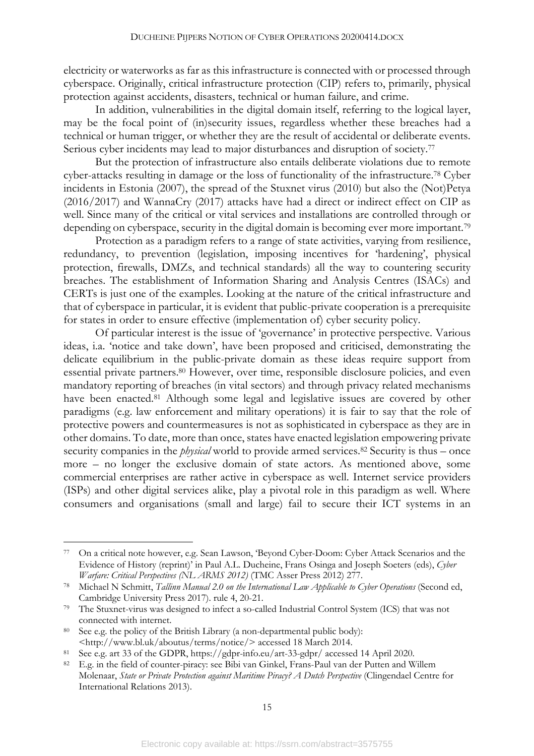electricity or waterworks as far as this infrastructure is connected with or processed through cyberspace. Originally, critical infrastructure protection (CIP) refers to, primarily, physical protection against accidents, disasters, technical or human failure, and crime.

In addition, vulnerabilities in the digital domain itself, referring to the logical layer, may be the focal point of (in)security issues, regardless whether these breaches had a technical or human trigger, or whether they are the result of accidental or deliberate events. Serious cyber incidents may lead to major disturbances and disruption of society.<sup>77</sup>

But the protection of infrastructure also entails deliberate violations due to remote cyber-attacks resulting in damage or the loss of functionality of the infrastructure.78 Cyber incidents in Estonia (2007), the spread of the Stuxnet virus (2010) but also the (Not)Petya (2016/2017) and WannaCry (2017) attacks have had a direct or indirect effect on CIP as well. Since many of the critical or vital services and installations are controlled through or depending on cyberspace, security in the digital domain is becoming ever more important.<sup>79</sup>

Protection as a paradigm refers to a range of state activities, varying from resilience, redundancy, to prevention (legislation, imposing incentives for 'hardening', physical protection, firewalls, DMZs, and technical standards) all the way to countering security breaches. The establishment of Information Sharing and Analysis Centres (ISACs) and CERTs is just one of the examples. Looking at the nature of the critical infrastructure and that of cyberspace in particular, it is evident that public-private cooperation is a prerequisite for states in order to ensure effective (implementation of) cyber security policy.

Of particular interest is the issue of 'governance' in protective perspective. Various ideas, i.a. 'notice and take down', have been proposed and criticised, demonstrating the delicate equilibrium in the public-private domain as these ideas require support from essential private partners.<sup>80</sup> However, over time, responsible disclosure policies, and even mandatory reporting of breaches (in vital sectors) and through privacy related mechanisms have been enacted.81 Although some legal and legislative issues are covered by other paradigms (e.g. law enforcement and military operations) it is fair to say that the role of protective powers and countermeasures is not as sophisticated in cyberspace as they are in other domains. To date, more than once, states have enacted legislation empowering private security companies in the *physical* world to provide armed services.<sup>82</sup> Security is thus – once more – no longer the exclusive domain of state actors. As mentioned above, some commercial enterprises are rather active in cyberspace as well. Internet service providers (ISPs) and other digital services alike, play a pivotal role in this paradigm as well. Where consumers and organisations (small and large) fail to secure their ICT systems in an

 <sup>77</sup> On a critical note however, e.g. Sean Lawson, 'Beyond Cyber-Doom: Cyber Attack Scenarios and the Evidence of History (reprint)' in Paul A.L. Ducheine, Frans Osinga and Joseph Soeters (eds), *Cyber Warfare: Critical Perspectives (NL ARMS 2012)* (TMC Asser Press 2012) 277.

<sup>78</sup> Michael N Schmitt, *Tallinn Manual 2.0 on the International Law Applicable to Cyber Operations* (Second ed, Cambridge University Press 2017). rule 4, 20-21.

<sup>79</sup> The Stuxnet-virus was designed to infect a so-called Industrial Control System (ICS) that was not connected with internet.

<sup>80</sup> See e.g. the policy of the British Library (a non-departmental public body): <http://www.bl.uk/aboutus/terms/notice/> accessed 18 March 2014.

<sup>81</sup> See e.g. art 33 of the GDPR, https://gdpr-info.eu/art-33-gdpr/ accessed 14 April 2020.

<sup>82</sup> E.g. in the field of counter-piracy: see Bibi van Ginkel, Frans-Paul van der Putten and Willem Molenaar, *State or Private Protection against Maritime Piracy? A Dutch Perspective* (Clingendael Centre for International Relations 2013).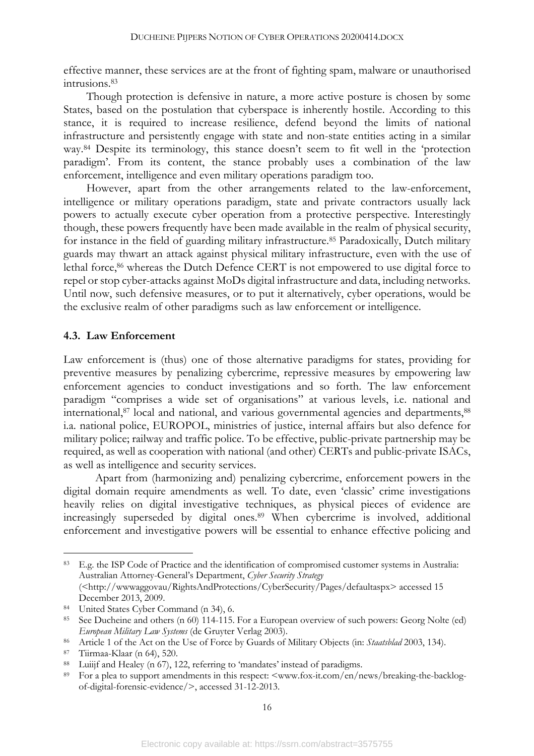effective manner, these services are at the front of fighting spam, malware or unauthorised intrusions.83

Though protection is defensive in nature, a more active posture is chosen by some States, based on the postulation that cyberspace is inherently hostile. According to this stance, it is required to increase resilience, defend beyond the limits of national infrastructure and persistently engage with state and non-state entities acting in a similar way.84 Despite its terminology, this stance doesn't seem to fit well in the 'protection paradigm'. From its content, the stance probably uses a combination of the law enforcement, intelligence and even military operations paradigm too.

However, apart from the other arrangements related to the law-enforcement, intelligence or military operations paradigm, state and private contractors usually lack powers to actually execute cyber operation from a protective perspective. Interestingly though, these powers frequently have been made available in the realm of physical security, for instance in the field of guarding military infrastructure.<sup>85</sup> Paradoxically, Dutch military guards may thwart an attack against physical military infrastructure, even with the use of lethal force,<sup>86</sup> whereas the Dutch Defence CERT is not empowered to use digital force to repel or stop cyber-attacks against MoDs digital infrastructure and data, including networks. Until now, such defensive measures, or to put it alternatively, cyber operations, would be the exclusive realm of other paradigms such as law enforcement or intelligence.

#### **4.3. Law Enforcement**

Law enforcement is (thus) one of those alternative paradigms for states, providing for preventive measures by penalizing cybercrime, repressive measures by empowering law enforcement agencies to conduct investigations and so forth. The law enforcement paradigm "comprises a wide set of organisations" at various levels, i.e. national and international,<sup>87</sup> local and national, and various governmental agencies and departments,<sup>88</sup> i.a. national police, EUROPOL, ministries of justice, internal affairs but also defence for military police; railway and traffic police. To be effective, public-private partnership may be required, as well as cooperation with national (and other) CERTs and public-private ISACs, as well as intelligence and security services.

Apart from (harmonizing and) penalizing cybercrime, enforcement powers in the digital domain require amendments as well. To date, even 'classic' crime investigations heavily relies on digital investigative techniques, as physical pieces of evidence are increasingly superseded by digital ones.89 When cybercrime is involved, additional enforcement and investigative powers will be essential to enhance effective policing and

 <sup>83</sup> E.g. the ISP Code of Practice and the identification of compromised customer systems in Australia: Australian Attorney-General's Department, *Cyber Security Strategy* (<http://wwwaggovau/RightsAndProtections/CyberSecurity/Pages/defaultaspx> accessed 15 December 2013, 2009.

<sup>84</sup> United States Cyber Command (n 34), 6.

<sup>85</sup> See Ducheine and others (n 60) 114-115. For a European overview of such powers: Georg Nolte (ed) *European Military Law Systems* (de Gruyter Verlag 2003).

<sup>86</sup> Article 1 of the Act on the Use of Force by Guards of Military Objects (in: *Staatsblad* 2003, 134).

<sup>87</sup> Tiirmaa-Klaar (n 64), 520.

<sup>88</sup> Luiijf and Healey (n 67), 122, referring to 'mandates' instead of paradigms.

For a plea to support amendments in this respect: <www.fox-it.com/en/news/breaking-the-backlogof-digital-forensic-evidence/>, accessed 31-12-2013.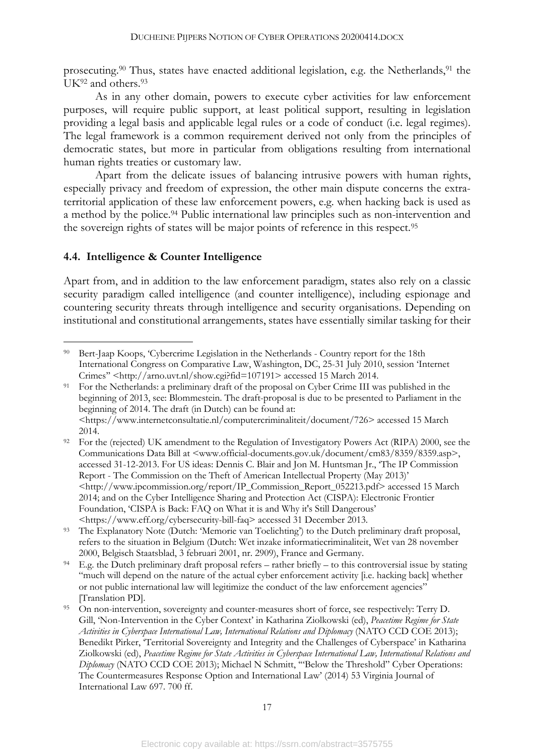prosecuting.<sup>90</sup> Thus, states have enacted additional legislation, e.g. the Netherlands,<sup>91</sup> the UK<sup>92</sup> and others.<sup>93</sup>

As in any other domain, powers to execute cyber activities for law enforcement purposes, will require public support, at least political support, resulting in legislation providing a legal basis and applicable legal rules or a code of conduct (i.e. legal regimes). The legal framework is a common requirement derived not only from the principles of democratic states, but more in particular from obligations resulting from international human rights treaties or customary law.

Apart from the delicate issues of balancing intrusive powers with human rights, especially privacy and freedom of expression, the other main dispute concerns the extraterritorial application of these law enforcement powers, e.g. when hacking back is used as a method by the police. <sup>94</sup> Public international law principles such as non-intervention and the sovereign rights of states will be major points of reference in this respect.95

#### **4.4. Intelligence & Counter Intelligence**

Apart from, and in addition to the law enforcement paradigm, states also rely on a classic security paradigm called intelligence (and counter intelligence), including espionage and countering security threats through intelligence and security organisations. Depending on institutional and constitutional arrangements, states have essentially similar tasking for their

 <sup>90</sup> Bert-Jaap Koops, 'Cybercrime Legislation in the Netherlands - Country report for the 18th International Congress on Comparative Law, Washington, DC, 25-31 July 2010, session 'Internet Crimes'' <http://arno.uvt.nl/show.cgi?fid=107191> accessed 15 March 2014.

<sup>91</sup> For the Netherlands: a preliminary draft of the proposal on Cyber Crime III was published in the beginning of 2013, see: Blommestein. The draft-proposal is due to be presented to Parliament in the beginning of 2014. The draft (in Dutch) can be found at: <https://www.internetconsultatie.nl/computercriminaliteit/document/726> accessed 15 March 2014.

<sup>&</sup>lt;sup>92</sup> For the (rejected) UK amendment to the Regulation of Investigatory Powers Act (RIPA) 2000, see the Communications Data Bill at <www.official-documents.gov.uk/document/cm83/8359/8359.asp>, accessed 31-12-2013. For US ideas: Dennis C. Blair and Jon M. Huntsman Jr., 'The IP Commission Report - The Commission on the Theft of American Intellectual Property (May 2013)' <http://www.ipcommission.org/report/IP\_Commission\_Report\_052213.pdf> accessed 15 March 2014; and on the Cyber Intelligence Sharing and Protection Act (CISPA): Electronic Frontier Foundation, 'CISPA is Back: FAQ on What it is and Why it's Still Dangerous' <https://www.eff.org/cybersecurity-bill-faq> accessed 31 December 2013.

<sup>93</sup> The Explanatory Note (Dutch: 'Memorie van Toelichting') to the Dutch preliminary draft proposal, refers to the situation in Belgium (Dutch: Wet inzake informatiecriminaliteit, Wet van 28 november 2000, Belgisch Staatsblad, 3 februari 2001, nr. 2909), France and Germany.

<sup>94</sup> E.g. the Dutch preliminary draft proposal refers – rather briefly – to this controversial issue by stating "much will depend on the nature of the actual cyber enforcement activity [i.e. hacking back] whether or not public international law will legitimize the conduct of the law enforcement agencies" [Translation PD].

<sup>95</sup> On non-intervention, sovereignty and counter-measures short of force, see respectively: Terry D. Gill, 'Non-Intervention in the Cyber Context' in Katharina Ziolkowski (ed), *Peacetime Regime for State Activities in Cyberspace International Law, International Relations and Diplomacy* (NATO CCD COE 2013); Benedikt Pirker, 'Territorial Sovereignty and Integrity and the Challenges of Cyberspace' in Katharina Ziolkowski (ed), *Peacetime Regime for State Activities in Cyberspace International Law, International Relations and Diplomacy* (NATO CCD COE 2013); Michael N Schmitt, '"Below the Threshold" Cyber Operations: The Countermeasures Response Option and International Law' (2014) 53 Virginia Journal of International Law 697. 700 ff.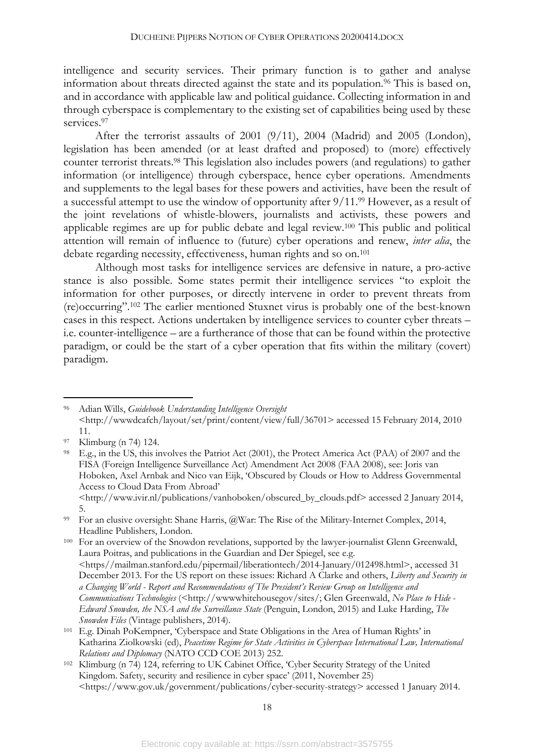intelligence and security services. Their primary function is to gather and analyse information about threats directed against the state and its population.<sup>96</sup> This is based on, and in accordance with applicable law and political guidance. Collecting information in and through cyberspace is complementary to the existing set of capabilities being used by these services.<sup>97</sup>

After the terrorist assaults of 2001 (9/11), 2004 (Madrid) and 2005 (London), legislation has been amended (or at least drafted and proposed) to (more) effectively counter terrorist threats. <sup>98</sup> This legislation also includes powers (and regulations) to gather information (or intelligence) through cyberspace, hence cyber operations. Amendments and supplements to the legal bases for these powers and activities, have been the result of a successful attempt to use the window of opportunity after 9/11.99 However, as a result of the joint revelations of whistle-blowers, journalists and activists, these powers and applicable regimes are up for public debate and legal review.100 This public and political attention will remain of influence to (future) cyber operations and renew, *inter alia*, the debate regarding necessity, effectiveness, human rights and so on.<sup>101</sup>

Although most tasks for intelligence services are defensive in nature, a pro-active stance is also possible. Some states permit their intelligence services "to exploit the information for other purposes, or directly intervene in order to prevent threats from (re)occurring".102 The earlier mentioned Stuxnet virus is probably one of the best-known cases in this respect. Actions undertaken by intelligence services to counter cyber threats – i.e. counter-intelligence – are a furtherance of those that can be found within the protective paradigm, or could be the start of a cyber operation that fits within the military (covert) paradigm.

5.

<sup>100</sup> For an overview of the Snowdon revelations, supported by the lawyer-journalist Glenn Greenwald, Laura Poitras, and publications in the Guardian and Der Spiegel, see e.g. <https//mailman.stanford.edu/pipermail/liberationtech/2014-January/012498.html>, accessed 31 December 2013. For the US report on these issues: Richard A Clarke and others, *Liberty and Security in a Changing World - Report and Recommendations of The President's Review Group on Intelligence and Communications Technologies* (<http://wwwwhitehousegov/sites/; Glen Greenwald, *No Place to Hide - Edward Snowden, the NSA and the Surveillance State* (Penguin, London, 2015) and Luke Harding, *The Snowden Files* (Vintage publishers, 2014).

 <sup>96</sup> Adian Wills, *Guidebook Understanding Intelligence Oversight* <http://wwwdcafch/layout/set/print/content/view/full/36701> accessed 15 February 2014, 2010 11.

<sup>97</sup> Klimburg (n 74) 124.

<sup>98</sup> E.g., in the US, this involves the Patriot Act (2001), the Protect America Act (PAA) of 2007 and the FISA (Foreign Intelligence Surveillance Act) Amendment Act 2008 (FAA 2008), see: Joris van Hoboken, Axel Arnbak and Nico van Eijk, 'Obscured by Clouds or How to Address Governmental Access to Cloud Data From Abroad' <http://www.ivir.nl/publications/vanhoboken/obscured\_by\_clouds.pdf> accessed 2 January 2014,

<sup>99</sup> For an elusive oversight: Shane Harris, @War: The Rise of the Military-Internet Complex, 2014, Headline Publishers, London.

<sup>101</sup> E.g. Dinah PoKempner, 'Cyberspace and State Obligations in the Area of Human Rights' in Katharina Ziolkowski (ed), *Peacetime Regime for State Activities in Cyberspace International Law, International Relations and Diplomacy* (NATO CCD COE 2013) 252.

<sup>102</sup> Klimburg (n 74) 124, referring to UK Cabinet Office, 'Cyber Security Strategy of the United Kingdom. Safety, security and resilience in cyber space' (2011, November 25) <https://www.gov.uk/government/publications/cyber-security-strategy> accessed 1 January 2014.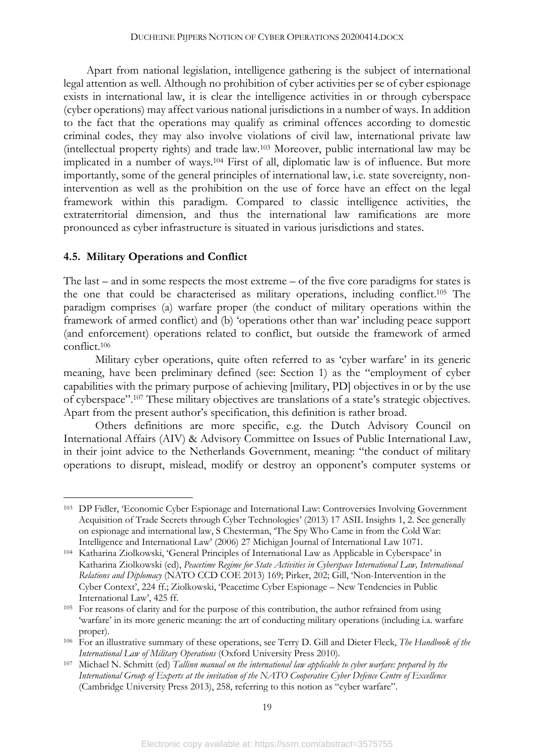Apart from national legislation, intelligence gathering is the subject of international legal attention as well. Although no prohibition of cyber activities per se of cyber espionage exists in international law, it is clear the intelligence activities in or through cyberspace (cyber operations) may affect various national jurisdictions in a number of ways. In addition to the fact that the operations may qualify as criminal offences according to domestic criminal codes, they may also involve violations of civil law, international private law (intellectual property rights) and trade law.103 Moreover, public international law may be implicated in a number of ways.104 First of all, diplomatic law is of influence. But more importantly, some of the general principles of international law, i.e. state sovereignty, nonintervention as well as the prohibition on the use of force have an effect on the legal framework within this paradigm. Compared to classic intelligence activities, the extraterritorial dimension, and thus the international law ramifications are more pronounced as cyber infrastructure is situated in various jurisdictions and states.

### **4.5. Military Operations and Conflict**

The last – and in some respects the most extreme – of the five core paradigms for states is the one that could be characterised as military operations, including conflict. <sup>105</sup> The paradigm comprises (a) warfare proper (the conduct of military operations within the framework of armed conflict) and (b) 'operations other than war' including peace support (and enforcement) operations related to conflict, but outside the framework of armed conflict.106

Military cyber operations, quite often referred to as 'cyber warfare' in its generic meaning, have been preliminary defined (see: Section 1) as the "employment of cyber capabilities with the primary purpose of achieving [military, PD] objectives in or by the use of cyberspace".107 These military objectives are translations of a state's strategic objectives. Apart from the present author's specification, this definition is rather broad.

Others definitions are more specific, e.g. the Dutch Advisory Council on International Affairs (AIV) & Advisory Committee on Issues of Public International Law, in their joint advice to the Netherlands Government, meaning: "the conduct of military operations to disrupt, mislead, modify or destroy an opponent's computer systems or

 <sup>103</sup> DP Fidler, 'Economic Cyber Espionage and International Law: Controversies Involving Government Acquisition of Trade Secrets through Cyber Technologies' (2013) 17 ASIL Insights 1, 2. See generally on espionage and international law, S Chesterman, 'The Spy Who Came in from the Cold War: Intelligence and International Law' (2006) 27 Michigan Journal of International Law 1071.

<sup>104</sup> Katharina Ziolkowski, 'General Principles of International Law as Applicable in Cyberspace' in Katharina Ziolkowski (ed), *Peacetime Regime for State Activities in Cyberspace International Law, International Relations and Diplomacy* (NATO CCD COE 2013) 169; Pirker, 202; Gill, 'Non-Intervention in the Cyber Context', 224 ff.; Ziolkowski, 'Peacetime Cyber Espionage – New Tendencies in Public International Law', 425 ff.

<sup>105</sup> For reasons of clarity and for the purpose of this contribution, the author refrained from using 'warfare' in its more generic meaning: the art of conducting military operations (including i.a. warfare proper).

<sup>106</sup> For an illustrative summary of these operations, see Terry D. Gill and Dieter Fleck, *The Handbook of the International Law of Military Operations* (Oxford University Press 2010).

<sup>107</sup> Michael N. Schmitt (ed) *Tallinn manual on the international law applicable to cyber warfare: prepared by the International Group of Experts at the invitation of the NATO Cooperative Cyber Defence Centre of Excellence* (Cambridge University Press 2013), 258, referring to this notion as "cyber warfare".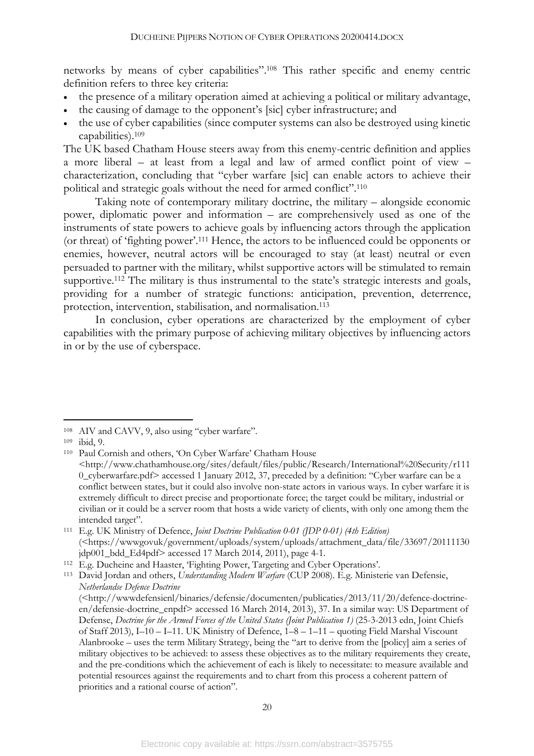networks by means of cyber capabilities".108 This rather specific and enemy centric definition refers to three key criteria:

- the presence of a military operation aimed at achieving a political or military advantage,
- the causing of damage to the opponent's [sic] cyber infrastructure; and
- the use of cyber capabilities (since computer systems can also be destroyed using kinetic capabilities).109

The UK based Chatham House steers away from this enemy-centric definition and applies a more liberal – at least from a legal and law of armed conflict point of view – characterization, concluding that "cyber warfare [sic] can enable actors to achieve their political and strategic goals without the need for armed conflict".110

Taking note of contemporary military doctrine, the military – alongside economic power, diplomatic power and information – are comprehensively used as one of the instruments of state powers to achieve goals by influencing actors through the application (or threat) of 'fighting power'.111 Hence, the actors to be influenced could be opponents or enemies, however, neutral actors will be encouraged to stay (at least) neutral or even persuaded to partner with the military, whilst supportive actors will be stimulated to remain supportive.<sup>112</sup> The military is thus instrumental to the state's strategic interests and goals, providing for a number of strategic functions: anticipation, prevention, deterrence, protection, intervention, stabilisation, and normalisation.113

In conclusion, cyber operations are characterized by the employment of cyber capabilities with the primary purpose of achieving military objectives by influencing actors in or by the use of cyberspace.

 <sup>108</sup> AIV and CAVV, 9, also using "cyber warfare".

<sup>109</sup> ibid, 9.

<sup>110</sup> Paul Cornish and others, 'On Cyber Warfare' Chatham House <http://www.chathamhouse.org/sites/default/files/public/Research/International%20Security/r111 0\_cyberwarfare.pdf> accessed 1 January 2012, 37, preceded by a definition: "Cyber warfare can be a conflict between states, but it could also involve non-state actors in various ways. In cyber warfare it is extremely difficult to direct precise and proportionate force; the target could be military, industrial or civilian or it could be a server room that hosts a wide variety of clients, with only one among them the intended target".

<sup>111</sup> E.g. UK Ministry of Defence, *Joint Doctrine Publication 0-01 (JDP 0-01) (4th Edition)* (<https://wwwgovuk/government/uploads/system/uploads/attachment\_data/file/33697/20111130  $jdp001$  bdd Ed4pdf> accessed 17 March 2014, 2011), page 4-1.

<sup>112</sup> E.g. Ducheine and Haaster, 'Fighting Power, Targeting and Cyber Operations'.

<sup>113</sup> David Jordan and others, *Understanding Modern Warfare* (CUP 2008). E.g. Ministerie van Defensie, *Netherlandse Defence Doctrine*

<sup>(&</sup>lt;http://wwwdefensienl/binaries/defensie/documenten/publicaties/2013/11/20/defence-doctrineen/defensie-doctrine\_enpdf> accessed 16 March 2014, 2013), 37. In a similar way: US Department of Defense, *Doctrine for the Armed Forces of the United States (Joint Publication 1)* (25-3-2013 edn, Joint Chiefs of Staff 2013), I–10 – I–11. UK Ministry of Defence, 1–8 – 1–11 – quoting Field Marshal Viscount Alanbrooke – uses the term Military Strategy, being the "art to derive from the [policy] aim a series of military objectives to be achieved: to assess these objectives as to the military requirements they create, and the pre-conditions which the achievement of each is likely to necessitate: to measure available and potential resources against the requirements and to chart from this process a coherent pattern of priorities and a rational course of action".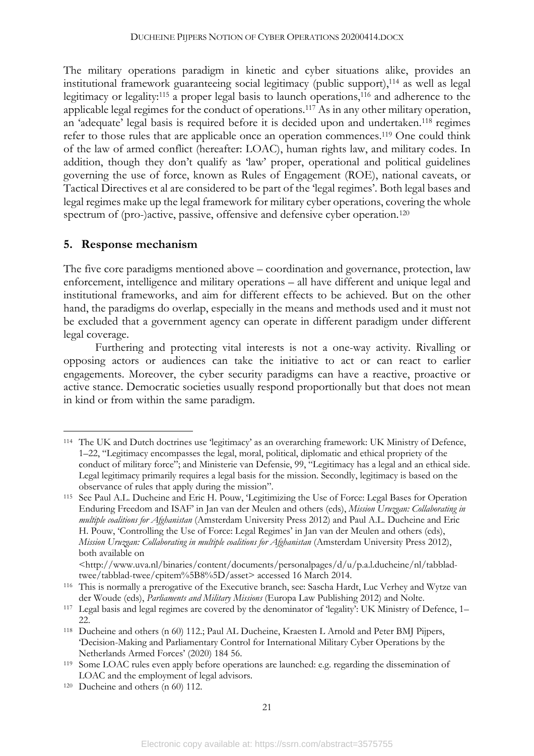The military operations paradigm in kinetic and cyber situations alike, provides an institutional framework guaranteeing social legitimacy (public support),114 as well as legal legitimacy or legality:<sup>115</sup> a proper legal basis to launch operations,<sup>116</sup> and adherence to the applicable legal regimes for the conduct of operations.117 As in any other military operation, an 'adequate' legal basis is required before it is decided upon and undertaken.118 regimes refer to those rules that are applicable once an operation commences.119 One could think of the law of armed conflict (hereafter: LOAC), human rights law, and military codes. In addition, though they don't qualify as 'law' proper, operational and political guidelines governing the use of force, known as Rules of Engagement (ROE), national caveats, or Tactical Directives et al are considered to be part of the 'legal regimes'. Both legal bases and legal regimes make up the legal framework for military cyber operations, covering the whole spectrum of (pro-)active, passive, offensive and defensive cyber operation.<sup>120</sup>

#### **5. Response mechanism**

The five core paradigms mentioned above – coordination and governance, protection, law enforcement, intelligence and military operations – all have different and unique legal and institutional frameworks, and aim for different effects to be achieved. But on the other hand, the paradigms do overlap, especially in the means and methods used and it must not be excluded that a government agency can operate in different paradigm under different legal coverage.

Furthering and protecting vital interests is not a one-way activity. Rivalling or opposing actors or audiences can take the initiative to act or can react to earlier engagements. Moreover, the cyber security paradigms can have a reactive, proactive or active stance. Democratic societies usually respond proportionally but that does not mean in kind or from within the same paradigm.

 <sup>114</sup> The UK and Dutch doctrines use 'legitimacy' as an overarching framework: UK Ministry of Defence, 1–22, "Legitimacy encompasses the legal, moral, political, diplomatic and ethical propriety of the conduct of military force"; and Ministerie van Defensie, 99, "Legitimacy has a legal and an ethical side. Legal legitimacy primarily requires a legal basis for the mission. Secondly, legitimacy is based on the observance of rules that apply during the mission".

<sup>115</sup> See Paul A.L. Ducheine and Eric H. Pouw, 'Legitimizing the Use of Force: Legal Bases for Operation Enduring Freedom and ISAF' in Jan van der Meulen and others (eds), *Mission Uruzgan: Collaborating in multiple coalitions for Afghanistan* (Amsterdam University Press 2012) and Paul A.L. Ducheine and Eric H. Pouw, 'Controlling the Use of Force: Legal Regimes' in Jan van der Meulen and others (eds), *Mission Uruzgan: Collaborating in multiple coalitions for Afghanistan* (Amsterdam University Press 2012), both available on

<sup>&</sup>lt;http://www.uva.nl/binaries/content/documents/personalpages/d/u/p.a.l.ducheine/nl/tabbladtwee/tabblad-twee/cpitem%5B8%5D/asset> accessed 16 March 2014.

<sup>116</sup> This is normally a prerogative of the Executive branch, see: Sascha Hardt, Luc Verhey and Wytze van der Woude (eds), *Parliaments and Military Missions* (Europa Law Publishing 2012) and Nolte.

<sup>117</sup> Legal basis and legal regimes are covered by the denominator of 'legality': UK Ministry of Defence, 1– 22.

<sup>118</sup> Ducheine and others (n 60) 112.; Paul AL Ducheine, Kraesten L Arnold and Peter BMJ Pijpers, 'Decision-Making and Parliamentary Control for International Military Cyber Operations by the Netherlands Armed Forces' (2020) 184 56.

<sup>119</sup> Some LOAC rules even apply before operations are launched: e.g. regarding the dissemination of LOAC and the employment of legal advisors.

<sup>120</sup> Ducheine and others (n 60) 112.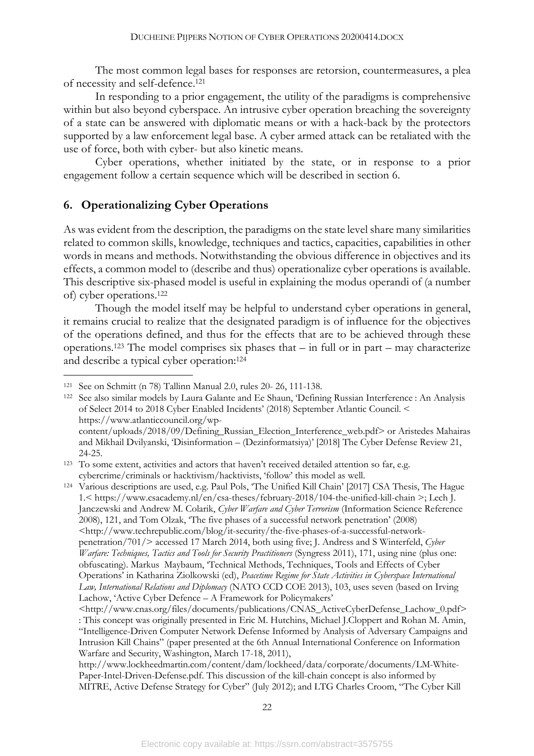The most common legal bases for responses are retorsion, countermeasures, a plea of necessity and self-defence. 121

In responding to a prior engagement, the utility of the paradigms is comprehensive within but also beyond cyberspace. An intrusive cyber operation breaching the sovereignty of a state can be answered with diplomatic means or with a hack-back by the protectors supported by a law enforcement legal base. A cyber armed attack can be retaliated with the use of force, both with cyber- but also kinetic means.

Cyber operations, whether initiated by the state, or in response to a prior engagement follow a certain sequence which will be described in section 6.

#### **6. Operationalizing Cyber Operations**

As was evident from the description, the paradigms on the state level share many similarities related to common skills, knowledge, techniques and tactics, capacities, capabilities in other words in means and methods. Notwithstanding the obvious difference in objectives and its effects, a common model to (describe and thus) operationalize cyber operations is available. This descriptive six-phased model is useful in explaining the modus operandi of (a number of) cyber operations.122

Though the model itself may be helpful to understand cyber operations in general, it remains crucial to realize that the designated paradigm is of influence for the objectives of the operations defined, and thus for the effects that are to be achieved through these operations.123 The model comprises six phases that – in full or in part – may characterize and describe a typical cyber operation:124

<sup>124</sup> Various descriptions are used, e.g. Paul Pols, 'The Unified Kill Chain' [2017] CSA Thesis, The Hague 1.< https://www.csacademy.nl/en/csa-theses/february-2018/104-the-unified-kill-chain >; Lech J. Janczewski and Andrew M. Colarik, *Cyber Warfare and Cyber Terrorism* (Information Science Reference 2008), 121, and Tom Olzak, 'The five phases of a successful network penetration' (2008) <http://www.techrepublic.com/blog/it-security/the-five-phases-of-a-successful-networkpenetration/701/> accessed 17 March 2014, both using five; J. Andress and S Winterfeld, *Cyber Warfare: Techniques, Tactics and Tools for Security Practitioners* (Syngress 2011), 171, using nine (plus one: obfuscating). Markus Maybaum, 'Technical Methods, Techniques, Tools and Effects of Cyber Operations' in Katharina Ziolkowski (ed), *Peacetime Regime for State Activities in Cyberspace International Law, International Relations and Diplomacy* (NATO CCD COE 2013), 103, uses seven (based on Irving Lachow, 'Active Cyber Defence – A Framework for Policymakers'

http://www.lockheedmartin.com/content/dam/lockheed/data/corporate/documents/LM-White-Paper-Intel-Driven-Defense.pdf. This discussion of the kill-chain concept is also informed by MITRE, Active Defense Strategy for Cyber" (July 2012); and LTG Charles Croom, "The Cyber Kill

 <sup>121</sup> See on Schmitt (n 78) Tallinn Manual 2.0, rules 20- 26, 111-138.

<sup>122</sup> See also similar models by Laura Galante and Ee Shaun, 'Defining Russian Interference : An Analysis of Select 2014 to 2018 Cyber Enabled Incidents' (2018) September Atlantic Council. < https://www.atlanticcouncil.org/wpcontent/uploads/2018/09/Defining\_Russian\_Election\_Interference\_web.pdf> or Aristedes Mahairas and Mikhail Dvilyanski, 'Disinformation – (Dezinformatsiya)' [2018] The Cyber Defense Review 21, 24-25.

<sup>123</sup> To some extent, activities and actors that haven't received detailed attention so far, e.g. cybercrime/criminals or hacktivism/hacktivists, 'follow' this model as well.

<sup>&</sup>lt;http://www.cnas.org/files/documents/publications/CNAS\_ActiveCyberDefense\_Lachow\_0.pdf> : This concept was originally presented in Eric M. Hutchins, Michael J.Cloppert and Rohan M. Amin, "Intelligence-Driven Computer Network Defense Informed by Analysis of Adversary Campaigns and Intrusion Kill Chains" (paper presented at the 6th Annual International Conference on Information Warfare and Security, Washington, March 17-18, 2011),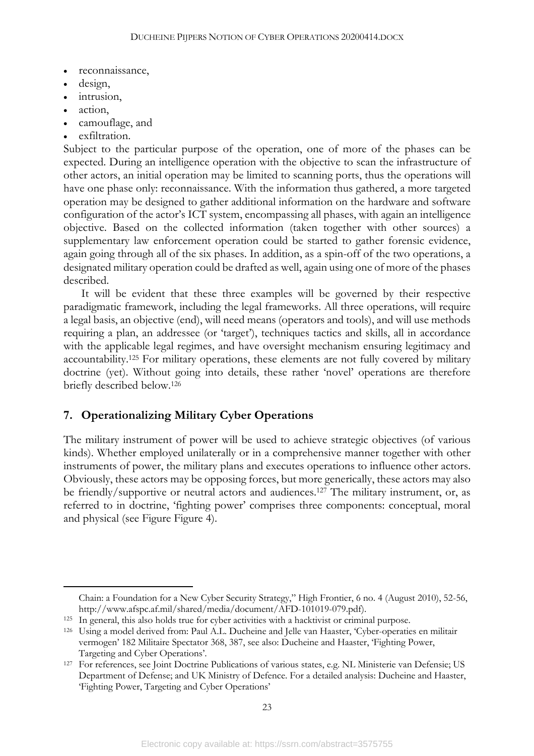- reconnaissance,
- design,
- intrusion,
- action,
- camouflage, and
- exfiltration.

Subject to the particular purpose of the operation, one of more of the phases can be expected. During an intelligence operation with the objective to scan the infrastructure of other actors, an initial operation may be limited to scanning ports, thus the operations will have one phase only: reconnaissance. With the information thus gathered, a more targeted operation may be designed to gather additional information on the hardware and software configuration of the actor's ICT system, encompassing all phases, with again an intelligence objective. Based on the collected information (taken together with other sources) a supplementary law enforcement operation could be started to gather forensic evidence, again going through all of the six phases. In addition, as a spin-off of the two operations, a designated military operation could be drafted as well, again using one of more of the phases described.

It will be evident that these three examples will be governed by their respective paradigmatic framework, including the legal frameworks. All three operations, will require a legal basis, an objective (end), will need means (operators and tools), and will use methods requiring a plan, an addressee (or 'target'), techniques tactics and skills, all in accordance with the applicable legal regimes, and have oversight mechanism ensuring legitimacy and accountability. <sup>125</sup> For military operations, these elements are not fully covered by military doctrine (yet). Without going into details, these rather 'novel' operations are therefore briefly described below.126

### **7. Operationalizing Military Cyber Operations**

The military instrument of power will be used to achieve strategic objectives (of various kinds). Whether employed unilaterally or in a comprehensive manner together with other instruments of power, the military plans and executes operations to influence other actors. Obviously, these actors may be opposing forces, but more generically, these actors may also be friendly/supportive or neutral actors and audiences. <sup>127</sup> The military instrument, or, as referred to in doctrine, 'fighting power' comprises three components: conceptual, moral and physical (see Figure Figure 4).

Chain: a Foundation for a New Cyber Security Strategy," High Frontier, 6 no. 4 (August 2010), 52-56, http://www.afspc.af.mil/shared/media/document/AFD-101019-079.pdf).

<sup>125</sup> In general, this also holds true for cyber activities with a hacktivist or criminal purpose.

<sup>126</sup> Using a model derived from: Paul A.L. Ducheine and Jelle van Haaster, 'Cyber-operaties en militair vermogen' 182 Militaire Spectator 368, 387, see also: Ducheine and Haaster, 'Fighting Power, Targeting and Cyber Operations'.

<sup>127</sup> For references, see Joint Doctrine Publications of various states, e.g. NL Ministerie van Defensie; US Department of Defense; and UK Ministry of Defence. For a detailed analysis: Ducheine and Haaster, 'Fighting Power, Targeting and Cyber Operations'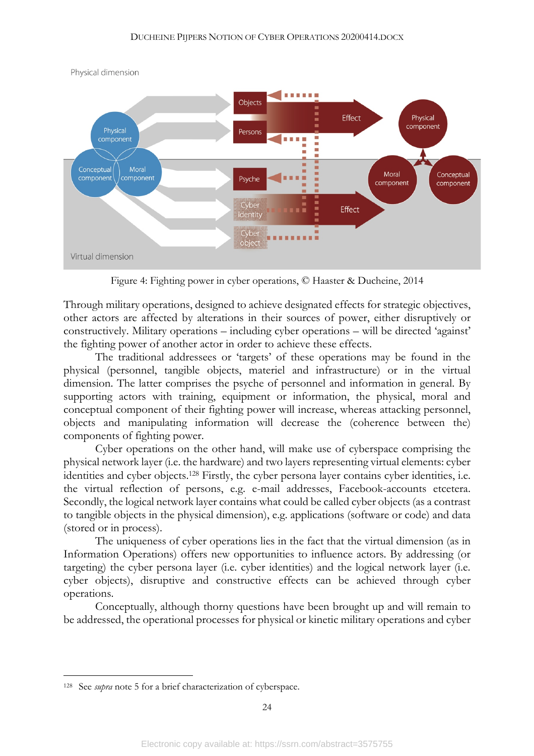

Physical dimension

Figure 4: Fighting power in cyber operations, © Haaster & Ducheine, 2014

Through military operations, designed to achieve designated effects for strategic objectives, other actors are affected by alterations in their sources of power, either disruptively or constructively. Military operations – including cyber operations – will be directed 'against' the fighting power of another actor in order to achieve these effects.

The traditional addressees or 'targets' of these operations may be found in the physical (personnel, tangible objects, materiel and infrastructure) or in the virtual dimension. The latter comprises the psyche of personnel and information in general. By supporting actors with training, equipment or information, the physical, moral and conceptual component of their fighting power will increase, whereas attacking personnel, objects and manipulating information will decrease the (coherence between the) components of fighting power.

Cyber operations on the other hand, will make use of cyberspace comprising the physical network layer (i.e. the hardware) and two layers representing virtual elements: cyber identities and cyber objects. <sup>128</sup> Firstly, the cyber persona layer contains cyber identities, i.e. the virtual reflection of persons, e.g. e-mail addresses, Facebook-accounts etcetera. Secondly, the logical network layer contains what could be called cyber objects (as a contrast to tangible objects in the physical dimension), e.g. applications (software or code) and data (stored or in process).

The uniqueness of cyber operations lies in the fact that the virtual dimension (as in Information Operations) offers new opportunities to influence actors. By addressing (or targeting) the cyber persona layer (i.e. cyber identities) and the logical network layer (i.e. cyber objects), disruptive and constructive effects can be achieved through cyber operations.

Conceptually, although thorny questions have been brought up and will remain to be addressed, the operational processes for physical or kinetic military operations and cyber

 <sup>128</sup> See *supra* note 5 for a brief characterization of cyberspace.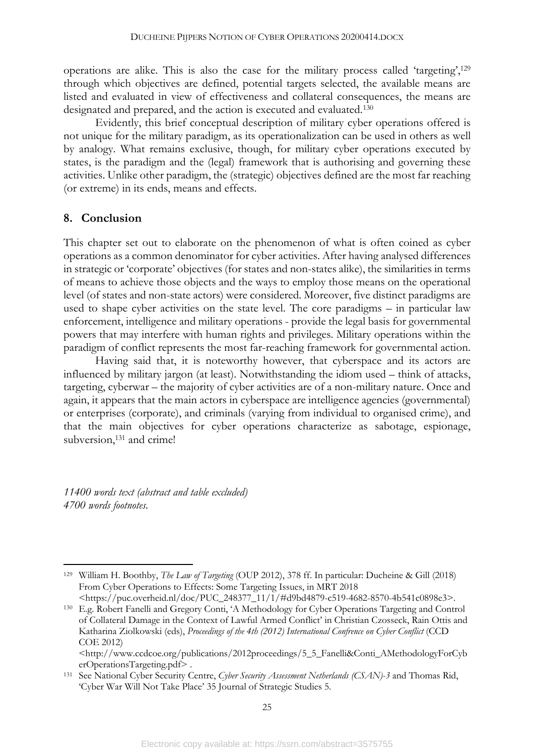operations are alike. This is also the case for the military process called 'targeting',129 through which objectives are defined, potential targets selected, the available means are listed and evaluated in view of effectiveness and collateral consequences, the means are designated and prepared, and the action is executed and evaluated.130

Evidently, this brief conceptual description of military cyber operations offered is not unique for the military paradigm, as its operationalization can be used in others as well by analogy. What remains exclusive, though, for military cyber operations executed by states, is the paradigm and the (legal) framework that is authorising and governing these activities. Unlike other paradigm, the (strategic) objectives defined are the most far reaching (or extreme) in its ends, means and effects.

#### **8. Conclusion**

This chapter set out to elaborate on the phenomenon of what is often coined as cyber operations as a common denominator for cyber activities. After having analysed differences in strategic or 'corporate' objectives (for states and non-states alike), the similarities in terms of means to achieve those objects and the ways to employ those means on the operational level (of states and non-state actors) were considered. Moreover, five distinct paradigms are used to shape cyber activities on the state level. The core paradigms – in particular law enforcement, intelligence and military operations - provide the legal basis for governmental powers that may interfere with human rights and privileges. Military operations within the paradigm of conflict represents the most far-reaching framework for governmental action.

Having said that, it is noteworthy however, that cyberspace and its actors are influenced by military jargon (at least). Notwithstanding the idiom used – think of attacks, targeting, cyberwar – the majority of cyber activities are of a non-military nature. Once and again, it appears that the main actors in cyberspace are intelligence agencies (governmental) or enterprises (corporate), and criminals (varying from individual to organised crime), and that the main objectives for cyber operations characterize as sabotage, espionage, subversion,<sup>131</sup> and crime!

*11400 words text (abstract and table excluded) 4700 words footnotes.*

 <sup>129</sup> William H. Boothby, *The Law of Targeting* (OUP 2012), 378 ff. In particular: Ducheine & Gill (2018) From Cyber Operations to Effects: Some Targeting Issues, in MRT 2018 <https://puc.overheid.nl/doc/PUC\_248377\_11/1/#d9bd4879-c519-4682-8570-4b541c0898e3>.

<sup>130</sup> E.g. Robert Fanelli and Gregory Conti, 'A Methodology for Cyber Operations Targeting and Control of Collateral Damage in the Context of Lawful Armed Conflict' in Christian Czosseck, Rain Ottis and Katharina Ziolkowski (eds), *Proceedings of the 4th (2012) International Confrence on Cyber Conflict* (CCD COE 2012)

<sup>&</sup>lt;http://www.ccdcoe.org/publications/2012proceedings/5\_5\_Fanelli&Conti\_AMethodologyForCyb erOperationsTargeting.pdf> .

<sup>131</sup> See National Cyber Security Centre, *Cyber Security Assessment Netherlands (CSAN)-3* and Thomas Rid, 'Cyber War Will Not Take Place' 35 Journal of Strategic Studies 5.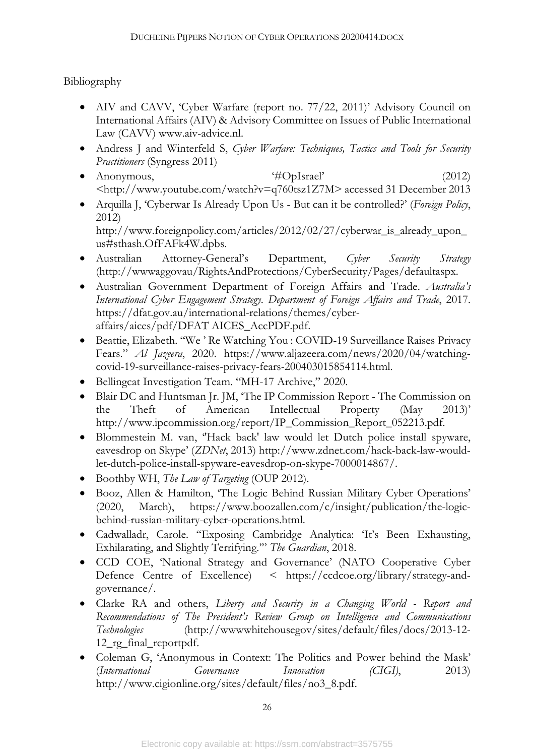Bibliography

- AIV and CAVV, 'Cyber Warfare (report no. 77/22, 2011)' Advisory Council on International Affairs (AIV) & Advisory Committee on Issues of Public International Law (CAVV) www.aiv-advice.nl.
- Andress J and Winterfeld S, *Cyber Warfare: Techniques, Tactics and Tools for Security Practitioners* (Syngress 2011)
- Anonymous,  $\ddot{H}$ OpIsrael' (2012) <http://www.youtube.com/watch?v=q760tsz1Z7M> accessed 31 December 2013
- Arquilla J, 'Cyberwar Is Already Upon Us But can it be controlled?' (*Foreign Policy*, 2012) http://www.foreignpolicy.com/articles/2012/02/27/cyberwar\_is\_already\_upon\_ us#sthash.OfFAFk4W.dpbs.
- Australian Attorney-General's Department, *Cyber Security Strategy* (http://wwwaggovau/RightsAndProtections/CyberSecurity/Pages/defaultaspx.
- Australian Government Department of Foreign Affairs and Trade. *Australia's International Cyber Engagement Strategy*. *Department of Foreign Affairs and Trade*, 2017. https://dfat.gov.au/international-relations/themes/cyberaffairs/aices/pdf/DFAT AICES\_AccPDF.pdf.
- Beattie, Elizabeth. "We ' Re Watching You : COVID-19 Surveillance Raises Privacy Fears." *Al Jazeera*, 2020. https://www.aljazeera.com/news/2020/04/watchingcovid-19-surveillance-raises-privacy-fears-200403015854114.html.
- Bellingcat Investigation Team. "MH-17 Archive," 2020.
- Blair DC and Huntsman Jr. JM, 'The IP Commission Report The Commission on the Theft of American Intellectual Property (May 2013)' http://www.ipcommission.org/report/IP\_Commission\_Report\_052213.pdf.
- Blommestein M. van, ''Hack back' law would let Dutch police install spyware, eavesdrop on Skype' (*ZDNet*, 2013) http://www.zdnet.com/hack-back-law-wouldlet-dutch-police-install-spyware-eavesdrop-on-skype-7000014867/.
- Boothby WH, *The Law of Targeting* (OUP 2012).
- Booz, Allen & Hamilton, 'The Logic Behind Russian Military Cyber Operations' (2020, March), https://www.boozallen.com/c/insight/publication/the-logicbehind-russian-military-cyber-operations.html.
- Cadwalladr, Carole. "Exposing Cambridge Analytica: 'It's Been Exhausting, Exhilarating, and Slightly Terrifying.'" *The Guardian*, 2018.
- CCD COE, 'National Strategy and Governance' (NATO Cooperative Cyber Defence Centre of Excellence) < https://ccdcoe.org/library/strategy-andgovernance/.
- Clarke RA and others, *Liberty and Security in a Changing World - Report and Recommendations of The President's Review Group on Intelligence and Communications Technologies* (http://wwwwhitehousegov/sites/default/files/docs/2013-12- 12\_rg\_final\_reportpdf.
- Coleman G, 'Anonymous in Context: The Politics and Power behind the Mask' (*International Governance Innovation (CIGI)*, 2013) http://www.cigionline.org/sites/default/files/no3\_8.pdf.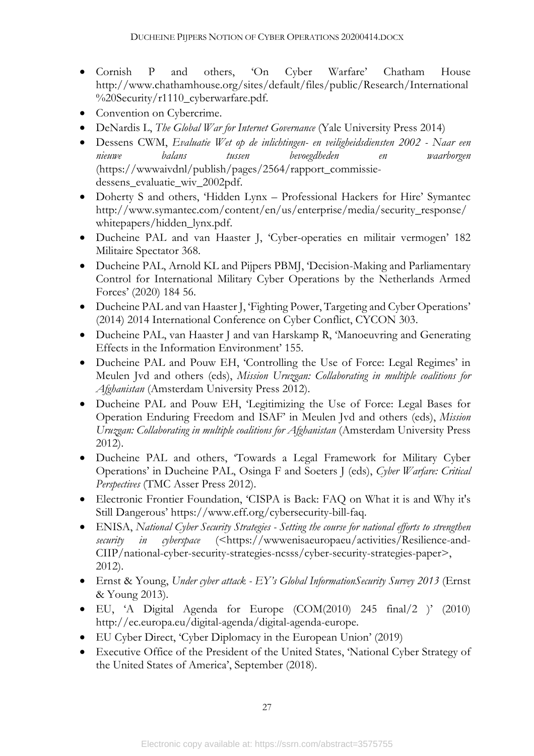- Cornish P and others, 'On Cyber Warfare' Chatham House http://www.chathamhouse.org/sites/default/files/public/Research/International %20Security/r1110\_cyberwarfare.pdf.
- Convention on Cybercrime.
- DeNardis L, *The Global War for Internet Governance* (Yale University Press 2014)
- Dessens CWM, *Evaluatie Wet op de inlichtingen- en veiligheidsdiensten 2002 - Naar een nieuwe balans tussen bevoegdheden en waarborgen* (https://wwwaivdnl/publish/pages/2564/rapport\_commissiedessens\_evaluatie\_wiv\_2002pdf.
- Doherty S and others, 'Hidden Lynx Professional Hackers for Hire' Symantec http://www.symantec.com/content/en/us/enterprise/media/security\_response/ whitepapers/hidden\_lynx.pdf.
- Ducheine PAL and van Haaster J, 'Cyber-operaties en militair vermogen' 182 Militaire Spectator 368.
- Ducheine PAL, Arnold KL and Pijpers PBMJ, 'Decision-Making and Parliamentary Control for International Military Cyber Operations by the Netherlands Armed Forces' (2020) 184 56.
- Ducheine PAL and van Haaster J, 'Fighting Power, Targeting and Cyber Operations' (2014) 2014 International Conference on Cyber Conflict, CYCON 303.
- Ducheine PAL, van Haaster J and van Harskamp R, 'Manoeuvring and Generating Effects in the Information Environment' 155.
- Ducheine PAL and Pouw EH, 'Controlling the Use of Force: Legal Regimes' in Meulen Jvd and others (eds), *Mission Uruzgan: Collaborating in multiple coalitions for Afghanistan* (Amsterdam University Press 2012).
- Ducheine PAL and Pouw EH, 'Legitimizing the Use of Force: Legal Bases for Operation Enduring Freedom and ISAF' in Meulen Jvd and others (eds), *Mission Uruzgan: Collaborating in multiple coalitions for Afghanistan* (Amsterdam University Press 2012).
- Ducheine PAL and others, 'Towards a Legal Framework for Military Cyber Operations' in Ducheine PAL, Osinga F and Soeters J (eds), *Cyber Warfare: Critical Perspectives* (TMC Asser Press 2012).
- Electronic Frontier Foundation, 'CISPA is Back: FAQ on What it is and Why it's Still Dangerous' https://www.eff.org/cybersecurity-bill-faq.
- ENISA, *National Cyber Security Strategies - Setting the course for national efforts to strengthen security in cyberspace* (<https://wwwenisaeuropaeu/activities/Resilience-and-CIIP/national-cyber-security-strategies-ncsss/cyber-security-strategies-paper>, 2012).
- Ernst & Young, *Under cyber attack - EY's Global InformationSecurity Survey 2013* (Ernst & Young 2013).
- EU, 'A Digital Agenda for Europe (COM(2010) 245 final/2 )' (2010) http://ec.europa.eu/digital-agenda/digital-agenda-europe.
- EU Cyber Direct, 'Cyber Diplomacy in the European Union' (2019)
- Executive Office of the President of the United States, 'National Cyber Strategy of the United States of America', September (2018).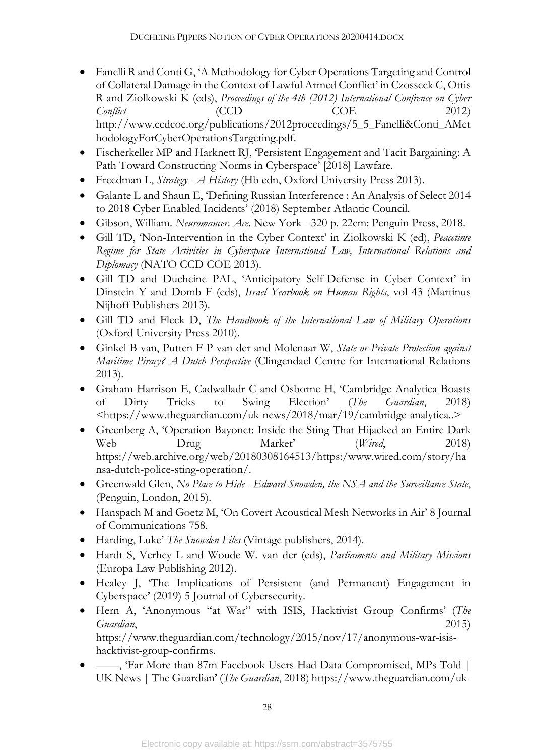- Fanelli R and Conti G, 'A Methodology for Cyber Operations Targeting and Control of Collateral Damage in the Context of Lawful Armed Conflict' in Czosseck C, Ottis R and Ziolkowski K (eds), *Proceedings of the 4th (2012) International Confrence on Cyber Conflict* (CCD COE 2012) http://www.ccdcoe.org/publications/2012proceedings/5\_5\_Fanelli&Conti\_AMet hodologyForCyberOperationsTargeting.pdf.
- Fischerkeller MP and Harknett RJ, 'Persistent Engagement and Tacit Bargaining: A Path Toward Constructing Norms in Cyberspace' [2018] Lawfare.
- Freedman L, *Strategy - A History* (Hb edn, Oxford University Press 2013).
- Galante L and Shaun E, 'Defining Russian Interference : An Analysis of Select 2014 to 2018 Cyber Enabled Incidents' (2018) September Atlantic Council.
- Gibson, William. *Neuromancer*. *Ace*. New York 320 p. 22cm: Penguin Press, 2018.
- Gill TD, 'Non-Intervention in the Cyber Context' in Ziolkowski K (ed), *Peacetime Regime for State Activities in Cyberspace International Law, International Relations and Diplomacy* (NATO CCD COE 2013).
- Gill TD and Ducheine PAL, 'Anticipatory Self-Defense in Cyber Context' in Dinstein Y and Domb F (eds), *Israel Yearbook on Human Rights*, vol 43 (Martinus Nijhoff Publishers 2013).
- Gill TD and Fleck D, *The Handbook of the International Law of Military Operations* (Oxford University Press 2010).
- Ginkel B van, Putten F-P van der and Molenaar W, *State or Private Protection against Maritime Piracy? A Dutch Perspective* (Clingendael Centre for International Relations 2013).
- Graham-Harrison E, Cadwalladr C and Osborne H, 'Cambridge Analytica Boasts of Dirty Tricks to Swing Election' (*The Guardian*, 2018) <https://www.theguardian.com/uk-news/2018/mar/19/cambridge-analytica..>
- Greenberg A, 'Operation Bayonet: Inside the Sting That Hijacked an Entire Dark Web Drug Market' (*Wired*, 2018) https://web.archive.org/web/20180308164513/https:/www.wired.com/story/ha nsa-dutch-police-sting-operation/.
- Greenwald Glen, *No Place to Hide - Edward Snowden, the NSA and the Surveillance State*, (Penguin, London, 2015).
- Hanspach M and Goetz M, 'On Covert Acoustical Mesh Networks in Air' 8 Journal of Communications 758.
- Harding, Luke' *The Snowden Files* (Vintage publishers, 2014).
- Hardt S, Verhey L and Woude W. van der (eds), *Parliaments and Military Missions* (Europa Law Publishing 2012).
- Healey J, 'The Implications of Persistent (and Permanent) Engagement in Cyberspace' (2019) 5 Journal of Cybersecurity.
- Hern A, 'Anonymous "at War" with ISIS, Hacktivist Group Confirms' (*The Guardian*, 2015) https://www.theguardian.com/technology/2015/nov/17/anonymous-war-isishacktivist-group-confirms.
- -, 'Far More than 87m Facebook Users Had Data Compromised, MPs Told | UK News | The Guardian' (*The Guardian*, 2018) https://www.theguardian.com/uk-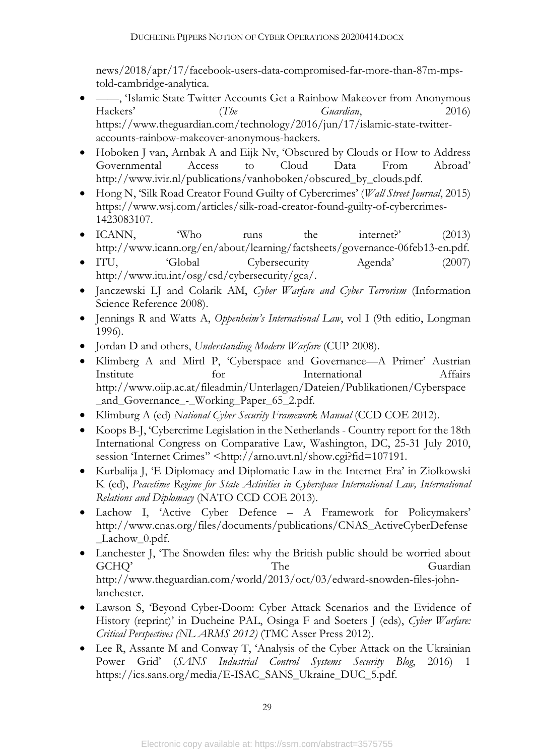news/2018/apr/17/facebook-users-data-compromised-far-more-than-87m-mpstold-cambridge-analytica.

- ——, 'Islamic State Twitter Accounts Get a Rainbow Makeover from Anonymous Hackers' (*The Guardian*, 2016) https://www.theguardian.com/technology/2016/jun/17/islamic-state-twitteraccounts-rainbow-makeover-anonymous-hackers.
- Hoboken J van, Arnbak A and Eijk Nv, 'Obscured by Clouds or How to Address Governmental Access to Cloud Data From Abroad' http://www.ivir.nl/publications/vanhoboken/obscured by clouds.pdf.
- Hong N, 'Silk Road Creator Found Guilty of Cybercrimes' (*Wall Street Journal*, 2015) https://www.wsj.com/articles/silk-road-creator-found-guilty-of-cybercrimes-1423083107.
- ICANN, Who runs the internet?' (2013) http://www.icann.org/en/about/learning/factsheets/governance-06feb13-en.pdf.
- ITU, 
Global Cybersecurity Agenda<sup>'</sup> (2007) http://www.itu.int/osg/csd/cybersecurity/gca/.
- Janczewski LJ and Colarik AM, *Cyber Warfare and Cyber Terrorism* (Information Science Reference 2008).
- Jennings R and Watts A, *Oppenheim's International Law*, vol I (9th editio, Longman 1996).
- Jordan D and others, *Understanding Modern Warfare* (CUP 2008).
- Klimberg A and Mirtl P, 'Cyberspace and Governance—A Primer' Austrian Institute for International Affairs http://www.oiip.ac.at/fileadmin/Unterlagen/Dateien/Publikationen/Cyberspace \_and\_Governance\_-\_Working\_Paper\_65\_2.pdf.
- Klimburg A (ed) *National Cyber Security Framework Manual* (CCD COE 2012).
- Koops B-J, 'Cybercrime Legislation in the Netherlands Country report for the 18th International Congress on Comparative Law, Washington, DC, 25-31 July 2010, session 'Internet Crimes'' <http://arno.uvt.nl/show.cgi?fid=107191.
- Kurbalija J, 'E-Diplomacy and Diplomatic Law in the Internet Era' in Ziolkowski K (ed), *Peacetime Regime for State Activities in Cyberspace International Law, International Relations and Diplomacy* (NATO CCD COE 2013).
- Lachow I, 'Active Cyber Defence A Framework for Policymakers' http://www.cnas.org/files/documents/publications/CNAS\_ActiveCyberDefense \_Lachow\_0.pdf.
- Lanchester J, 'The Snowden files: why the British public should be worried about GCHQ' The Guardian http://www.theguardian.com/world/2013/oct/03/edward-snowden-files-johnlanchester.
- Lawson S, 'Beyond Cyber-Doom: Cyber Attack Scenarios and the Evidence of History (reprint)' in Ducheine PAL, Osinga F and Soeters J (eds), *Cyber Warfare: Critical Perspectives (NL ARMS 2012)* (TMC Asser Press 2012).
- Lee R, Assante M and Conway T, 'Analysis of the Cyber Attack on the Ukrainian Power Grid' (*SANS Industrial Control Systems Security Blog*, 2016) 1 https://ics.sans.org/media/E-ISAC\_SANS\_Ukraine\_DUC\_5.pdf.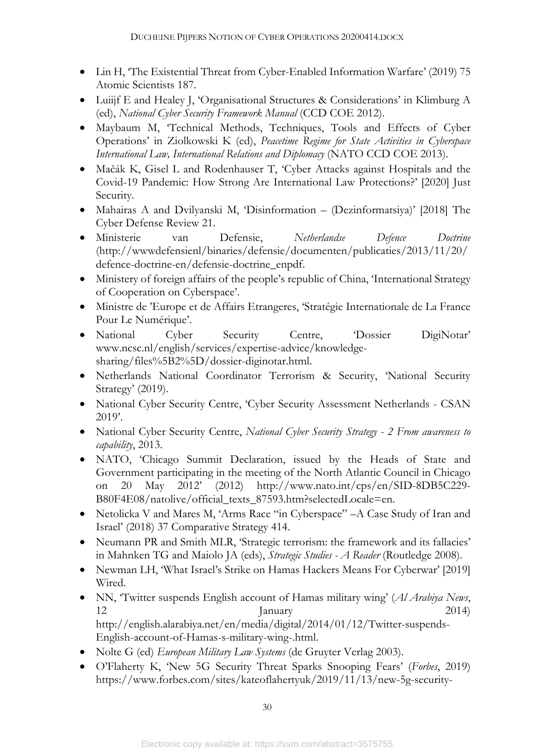- Lin H, 'The Existential Threat from Cyber-Enabled Information Warfare' (2019) 75 Atomic Scientists 187.
- Luiijf E and Healey J, 'Organisational Structures & Considerations' in Klimburg A (ed), *National Cyber Security Framework Manual* (CCD COE 2012).
- Maybaum M, 'Technical Methods, Techniques, Tools and Effects of Cyber Operations' in Ziolkowski K (ed), *Peacetime Regime for State Activities in Cyberspace International Law, International Relations and Diplomacy* (NATO CCD COE 2013).
- Mačák K, Gisel L and Rodenhauser T, 'Cyber Attacks against Hospitals and the Covid-19 Pandemic: How Strong Are International Law Protections?' [2020] Just Security.
- Mahairas A and Dvilyanski M, 'Disinformation (Dezinformatsiya)' [2018] The Cyber Defense Review 21.
- Ministerie van Defensie, *Netherlandse Defence Doctrine* (http://wwwdefensienl/binaries/defensie/documenten/publicaties/2013/11/20/ defence-doctrine-en/defensie-doctrine\_enpdf.
- Ministery of foreign affairs of the people's republic of China, 'International Strategy of Cooperation on Cyberspace'.
- Ministre de 'Europe et de Affairs Etrangeres, 'Stratégie Internationale de La France Pour Le Numérique'.
- National Cyber Security Centre, 'Dossier DigiNotar' www.ncsc.nl/english/services/expertise-advice/knowledgesharing/files%5B2%5D/dossier-diginotar.html.
- Netherlands National Coordinator Terrorism & Security, 'National Security Strategy' (2019).
- National Cyber Security Centre, 'Cyber Security Assessment Netherlands CSAN 2019'.
- National Cyber Security Centre, *National Cyber Security Strategy - 2 From awareness to capability*, 2013.
- NATO, 'Chicago Summit Declaration, issued by the Heads of State and Government participating in the meeting of the North Atlantic Council in Chicago on 20 May 2012' (2012) http://www.nato.int/cps/en/SID-8DB5C229- B80F4E08/natolive/official\_texts\_87593.htm?selectedLocale=en.
- Netolicka V and Mares M, 'Arms Race "in Cyberspace" –A Case Study of Iran and Israel' (2018) 37 Comparative Strategy 414.
- Neumann PR and Smith MLR, 'Strategic terrorism: the framework and its fallacies' in Mahnken TG and Maiolo JA (eds), *Strategic Studies - A Reader* (Routledge 2008).
- Newman LH, 'What Israel's Strike on Hamas Hackers Means For Cyberwar' [2019] Wired.
- NN, 'Twitter suspends English account of Hamas military wing' (*Al Arabiya News*, 12 January 2014) http://english.alarabiya.net/en/media/digital/2014/01/12/Twitter-suspends-English-account-of-Hamas-s-military-wing-.html.
- Nolte G (ed) *European Military Law Systems* (de Gruyter Verlag 2003).
- O'Flaherty K, 'New 5G Security Threat Sparks Snooping Fears' (*Forbes*, 2019) https://www.forbes.com/sites/kateoflahertyuk/2019/11/13/new-5g-security-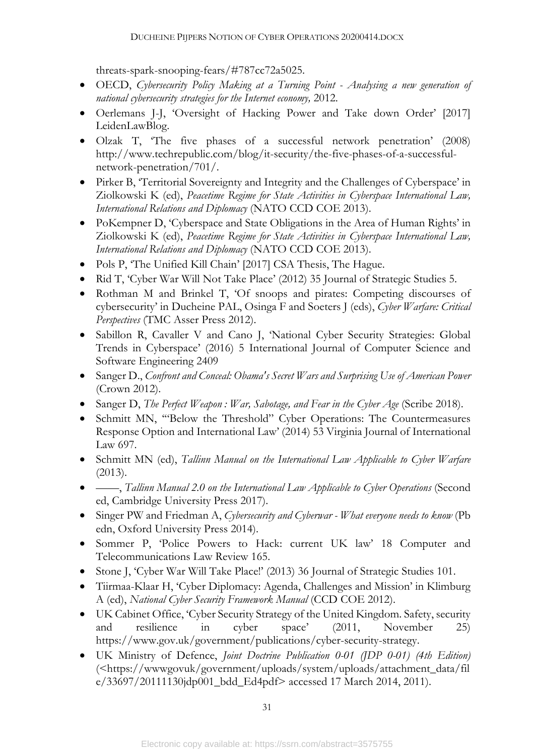threats-spark-snooping-fears/#787cc72a5025.

- OECD, *Cybersecurity Policy Making at a Turning Point - Analysing a new generation of national cybersecurity strategies for the Internet economy,* 2012.
- Oerlemans J-J, 'Oversight of Hacking Power and Take down Order' [2017] LeidenLawBlog.
- Olzak T, 'The five phases of a successful network penetration' (2008) http://www.techrepublic.com/blog/it-security/the-five-phases-of-a-successfulnetwork-penetration/701/.
- Pirker B, 'Territorial Sovereignty and Integrity and the Challenges of Cyberspace' in Ziolkowski K (ed), *Peacetime Regime for State Activities in Cyberspace International Law, International Relations and Diplomacy* (NATO CCD COE 2013).
- PoKempner D, 'Cyberspace and State Obligations in the Area of Human Rights' in Ziolkowski K (ed), *Peacetime Regime for State Activities in Cyberspace International Law, International Relations and Diplomacy* (NATO CCD COE 2013).
- Pols P, 'The Unified Kill Chain' [2017] CSA Thesis, The Hague.
- Rid T, 'Cyber War Will Not Take Place' (2012) 35 Journal of Strategic Studies 5.
- Rothman M and Brinkel T, 'Of snoops and pirates: Competing discourses of cybersecurity' in Ducheine PAL, Osinga F and Soeters J (eds), *Cyber Warfare: Critical Perspectives* (TMC Asser Press 2012).
- Sabillon R, Cavaller V and Cano J, 'National Cyber Security Strategies: Global Trends in Cyberspace' (2016) 5 International Journal of Computer Science and Software Engineering 2409
- Sanger D., *Confront and Conceal: Obama's Secret Wars and Surprising Use of American Power* (Crown 2012).
- Sanger D, *The Perfect Weapon : War, Sabotage, and Fear in the Cyber Age* (Scribe 2018).
- Schmitt MN, '"Below the Threshold" Cyber Operations: The Countermeasures Response Option and International Law' (2014) 53 Virginia Journal of International Law 697.
- Schmitt MN (ed), *Tallinn Manual on the International Law Applicable to Cyber Warfare* (2013).
- ——, *Tallinn Manual 2.0 on the International Law Applicable to Cyber Operations* (Second ed, Cambridge University Press 2017).
- Singer PW and Friedman A, *Cybersecurity and Cyberwar - What everyone needs to know* (Pb edn, Oxford University Press 2014).
- Sommer P, 'Police Powers to Hack: current UK law' 18 Computer and Telecommunications Law Review 165.
- Stone J, 'Cyber War Will Take Place!' (2013) 36 Journal of Strategic Studies 101.
- Tiirmaa-Klaar H, 'Cyber Diplomacy: Agenda, Challenges and Mission' in Klimburg A (ed), *National Cyber Security Framework Manual* (CCD COE 2012).
- UK Cabinet Office, 'Cyber Security Strategy of the United Kingdom. Safety, security and resilience in cyber space' (2011, November 25) https://www.gov.uk/government/publications/cyber-security-strategy.
- UK Ministry of Defence, *Joint Doctrine Publication 0-01 (JDP 0-01) (4th Edition)* (<https://wwwgovuk/government/uploads/system/uploads/attachment\_data/fil e/33697/20111130jdp001\_bdd\_Ed4pdf> accessed 17 March 2014, 2011).